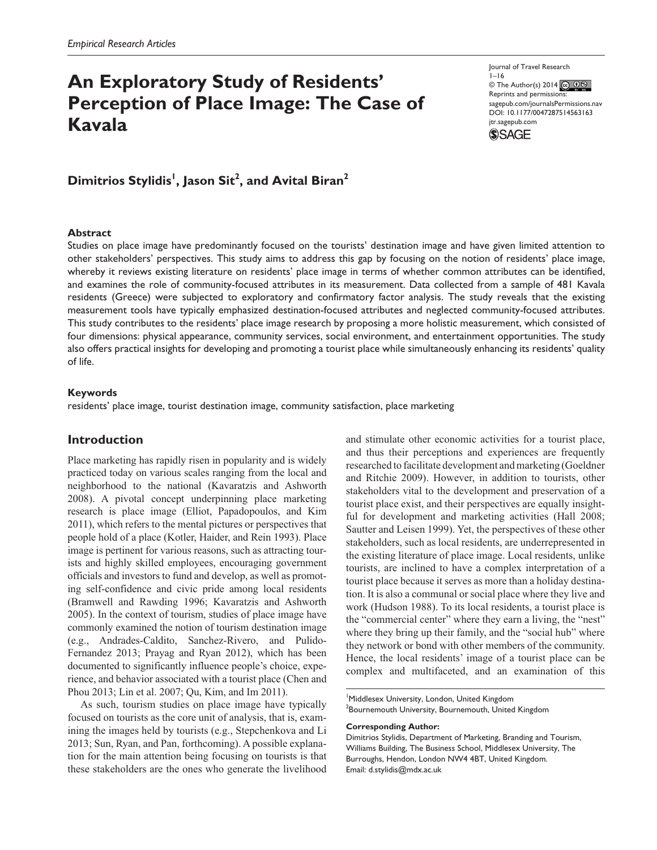# **An Exploratory Study of Residents' Perception of Place Image: The Case of Kavala**

Journal of Travel Research  $I-I6$  $\circledcirc$  The Author(s) 2014  $\circledcirc$  0  $\circledcirc$ Reprints and permissions: sagepub.com/journalsPermissions.nav DOI: 10.1177/0047287514563163 jtr.sagepub.com **SSAGE** 

**Dimitrios Stylidis1 , Jason Sit2 , and Avital Biran2**

#### **Abstract**

Studies on place image have predominantly focused on the tourists' destination image and have given limited attention to other stakeholders' perspectives. This study aims to address this gap by focusing on the notion of residents' place image, whereby it reviews existing literature on residents' place image in terms of whether common attributes can be identified, and examines the role of community-focused attributes in its measurement. Data collected from a sample of 481 Kavala residents (Greece) were subjected to exploratory and confirmatory factor analysis. The study reveals that the existing measurement tools have typically emphasized destination-focused attributes and neglected community-focused attributes. This study contributes to the residents' place image research by proposing a more holistic measurement, which consisted of four dimensions: physical appearance, community services, social environment, and entertainment opportunities. The study also offers practical insights for developing and promoting a tourist place while simultaneously enhancing its residents' quality of life.

#### **Keywords**

residents' place image, tourist destination image, community satisfaction, place marketing

## **Introduction**

Place marketing has rapidly risen in popularity and is widely practiced today on various scales ranging from the local and neighborhood to the national (Kavaratzis and Ashworth 2008). A pivotal concept underpinning place marketing research is place image (Elliot, Papadopoulos, and Kim 2011), which refers to the mental pictures or perspectives that people hold of a place (Kotler, Haider, and Rein 1993). Place image is pertinent for various reasons, such as attracting tourists and highly skilled employees, encouraging government officials and investors to fund and develop, as well as promoting self-confidence and civic pride among local residents (Bramwell and Rawding 1996; Kavaratzis and Ashworth 2005). In the context of tourism, studies of place image have commonly examined the notion of tourism destination image (e.g., Andrades-Caldito, Sanchez-Rivero, and Pulido-Fernandez 2013; Prayag and Ryan 2012), which has been documented to significantly influence people's choice, experience, and behavior associated with a tourist place (Chen and Phou 2013; Lin et al. 2007; Qu, Kim, and Im 2011).

As such, tourism studies on place image have typically focused on tourists as the core unit of analysis, that is, examining the images held by tourists (e.g., Stepchenkova and Li 2013; Sun, Ryan, and Pan, forthcoming). A possible explanation for the main attention being focusing on tourists is that these stakeholders are the ones who generate the livelihood

and stimulate other economic activities for a tourist place, and thus their perceptions and experiences are frequently researched to facilitate development and marketing (Goeldner and Ritchie 2009). However, in addition to tourists, other stakeholders vital to the development and preservation of a tourist place exist, and their perspectives are equally insightful for development and marketing activities (Hall 2008; Sautter and Leisen 1999). Yet, the perspectives of these other stakeholders, such as local residents, are underrepresented in the existing literature of place image. Local residents, unlike tourists, are inclined to have a complex interpretation of a tourist place because it serves as more than a holiday destination. It is also a communal or social place where they live and work (Hudson 1988). To its local residents, a tourist place is the "commercial center" where they earn a living, the "nest" where they bring up their family, and the "social hub" where they network or bond with other members of the community. Hence, the local residents' image of a tourist place can be complex and multifaceted, and an examination of this

#### **Corresponding Author:**

<sup>&</sup>lt;sup>1</sup>Middlesex University, London, United Kingdom  $^2$ Bournemouth University, Bournemouth, United Kingdom

Dimitrios Stylidis, Department of Marketing, Branding and Tourism, Williams Building, The Business School, Middlesex University, The Burroughs, Hendon, London NW4 4BT, United Kingdom. Email: d.stylidis@mdx.ac.uk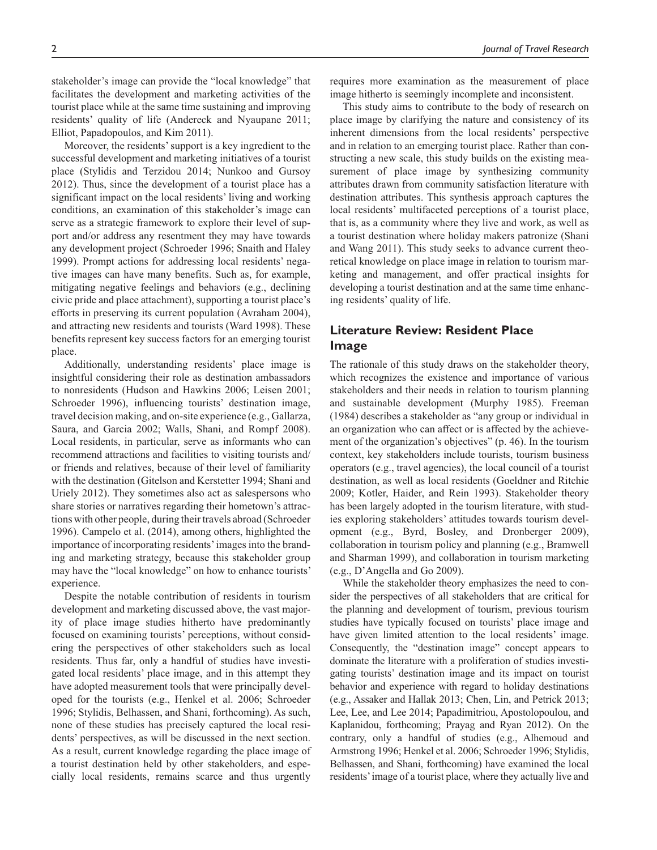stakeholder's image can provide the "local knowledge" that facilitates the development and marketing activities of the tourist place while at the same time sustaining and improving residents' quality of life (Andereck and Nyaupane 2011; Elliot, Papadopoulos, and Kim 2011).

Moreover, the residents' support is a key ingredient to the successful development and marketing initiatives of a tourist place (Stylidis and Terzidou 2014; Nunkoo and Gursoy 2012). Thus, since the development of a tourist place has a significant impact on the local residents' living and working conditions, an examination of this stakeholder's image can serve as a strategic framework to explore their level of support and/or address any resentment they may have towards any development project (Schroeder 1996; Snaith and Haley 1999). Prompt actions for addressing local residents' negative images can have many benefits. Such as, for example, mitigating negative feelings and behaviors (e.g., declining civic pride and place attachment), supporting a tourist place's efforts in preserving its current population (Avraham 2004), and attracting new residents and tourists (Ward 1998). These benefits represent key success factors for an emerging tourist place.

Additionally, understanding residents' place image is insightful considering their role as destination ambassadors to nonresidents (Hudson and Hawkins 2006; Leisen 2001; Schroeder 1996), influencing tourists' destination image, travel decision making, and on-site experience (e.g., Gallarza, Saura, and Garcia 2002; Walls, Shani, and Rompf 2008). Local residents, in particular, serve as informants who can recommend attractions and facilities to visiting tourists and/ or friends and relatives, because of their level of familiarity with the destination (Gitelson and Kerstetter 1994; Shani and Uriely 2012). They sometimes also act as salespersons who share stories or narratives regarding their hometown's attractions with other people, during their travels abroad (Schroeder 1996). Campelo et al. (2014), among others, highlighted the importance of incorporating residents' images into the branding and marketing strategy, because this stakeholder group may have the "local knowledge" on how to enhance tourists' experience.

Despite the notable contribution of residents in tourism development and marketing discussed above, the vast majority of place image studies hitherto have predominantly focused on examining tourists' perceptions, without considering the perspectives of other stakeholders such as local residents. Thus far, only a handful of studies have investigated local residents' place image, and in this attempt they have adopted measurement tools that were principally developed for the tourists (e.g., Henkel et al. 2006; Schroeder 1996; Stylidis, Belhassen, and Shani, forthcoming). As such, none of these studies has precisely captured the local residents' perspectives, as will be discussed in the next section. As a result, current knowledge regarding the place image of a tourist destination held by other stakeholders, and especially local residents, remains scarce and thus urgently

requires more examination as the measurement of place image hitherto is seemingly incomplete and inconsistent.

This study aims to contribute to the body of research on place image by clarifying the nature and consistency of its inherent dimensions from the local residents' perspective and in relation to an emerging tourist place. Rather than constructing a new scale, this study builds on the existing measurement of place image by synthesizing community attributes drawn from community satisfaction literature with destination attributes. This synthesis approach captures the local residents' multifaceted perceptions of a tourist place, that is, as a community where they live and work, as well as a tourist destination where holiday makers patronize (Shani and Wang 2011). This study seeks to advance current theoretical knowledge on place image in relation to tourism marketing and management, and offer practical insights for developing a tourist destination and at the same time enhancing residents' quality of life.

# **Literature Review: Resident Place Image**

The rationale of this study draws on the stakeholder theory, which recognizes the existence and importance of various stakeholders and their needs in relation to tourism planning and sustainable development (Murphy 1985). Freeman (1984) describes a stakeholder as "any group or individual in an organization who can affect or is affected by the achievement of the organization's objectives" (p. 46). In the tourism context, key stakeholders include tourists, tourism business operators (e.g., travel agencies), the local council of a tourist destination, as well as local residents (Goeldner and Ritchie 2009; Kotler, Haider, and Rein 1993). Stakeholder theory has been largely adopted in the tourism literature, with studies exploring stakeholders' attitudes towards tourism development (e.g., Byrd, Bosley, and Dronberger 2009), collaboration in tourism policy and planning (e.g., Bramwell and Sharman 1999), and collaboration in tourism marketing (e.g., D'Angella and Go 2009).

While the stakeholder theory emphasizes the need to consider the perspectives of all stakeholders that are critical for the planning and development of tourism, previous tourism studies have typically focused on tourists' place image and have given limited attention to the local residents' image. Consequently, the "destination image" concept appears to dominate the literature with a proliferation of studies investigating tourists' destination image and its impact on tourist behavior and experience with regard to holiday destinations (e.g., Assaker and Hallak 2013; Chen, Lin, and Petrick 2013; Lee, Lee, and Lee 2014; Papadimitriou, Apostolopoulou, and Kaplanidou, forthcoming; Prayag and Ryan 2012). On the contrary, only a handful of studies (e.g., Alhemoud and Armstrong 1996; Henkel et al. 2006; Schroeder 1996; Stylidis, Belhassen, and Shani, forthcoming) have examined the local residents' image of a tourist place, where they actually live and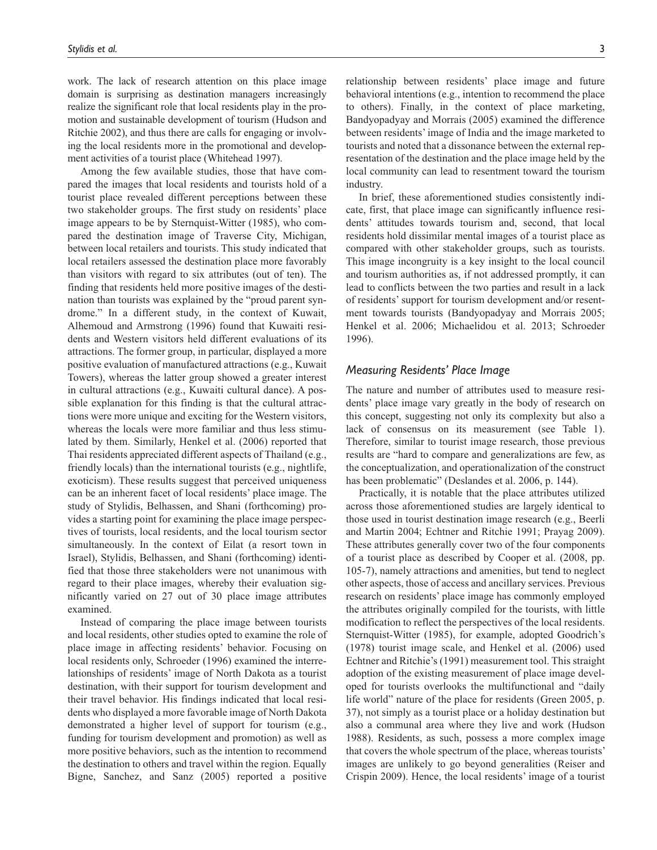work. The lack of research attention on this place image domain is surprising as destination managers increasingly realize the significant role that local residents play in the promotion and sustainable development of tourism (Hudson and Ritchie 2002), and thus there are calls for engaging or involving the local residents more in the promotional and development activities of a tourist place (Whitehead 1997).

Among the few available studies, those that have compared the images that local residents and tourists hold of a tourist place revealed different perceptions between these two stakeholder groups. The first study on residents' place image appears to be by Sternquist-Witter (1985), who compared the destination image of Traverse City, Michigan, between local retailers and tourists. This study indicated that local retailers assessed the destination place more favorably than visitors with regard to six attributes (out of ten). The finding that residents held more positive images of the destination than tourists was explained by the "proud parent syndrome." In a different study, in the context of Kuwait, Alhemoud and Armstrong (1996) found that Kuwaiti residents and Western visitors held different evaluations of its attractions. The former group, in particular, displayed a more positive evaluation of manufactured attractions (e.g., Kuwait Towers), whereas the latter group showed a greater interest in cultural attractions (e.g., Kuwaiti cultural dance). A possible explanation for this finding is that the cultural attractions were more unique and exciting for the Western visitors, whereas the locals were more familiar and thus less stimulated by them. Similarly, Henkel et al. (2006) reported that Thai residents appreciated different aspects of Thailand (e.g., friendly locals) than the international tourists (e.g., nightlife, exoticism). These results suggest that perceived uniqueness can be an inherent facet of local residents' place image. The study of Stylidis, Belhassen, and Shani (forthcoming) provides a starting point for examining the place image perspectives of tourists, local residents, and the local tourism sector simultaneously. In the context of Eilat (a resort town in Israel), Stylidis, Belhassen, and Shani (forthcoming) identified that those three stakeholders were not unanimous with regard to their place images, whereby their evaluation significantly varied on 27 out of 30 place image attributes examined.

Instead of comparing the place image between tourists and local residents, other studies opted to examine the role of place image in affecting residents' behavior. Focusing on local residents only, Schroeder (1996) examined the interrelationships of residents' image of North Dakota as a tourist destination, with their support for tourism development and their travel behavior. His findings indicated that local residents who displayed a more favorable image of North Dakota demonstrated a higher level of support for tourism (e.g., funding for tourism development and promotion) as well as more positive behaviors, such as the intention to recommend the destination to others and travel within the region. Equally Bigne, Sanchez, and Sanz (2005) reported a positive

relationship between residents' place image and future behavioral intentions (e.g., intention to recommend the place to others). Finally, in the context of place marketing, Bandyopadyay and Morrais (2005) examined the difference between residents' image of India and the image marketed to tourists and noted that a dissonance between the external representation of the destination and the place image held by the local community can lead to resentment toward the tourism industry.

In brief, these aforementioned studies consistently indicate, first, that place image can significantly influence residents' attitudes towards tourism and, second, that local residents hold dissimilar mental images of a tourist place as compared with other stakeholder groups, such as tourists. This image incongruity is a key insight to the local council and tourism authorities as, if not addressed promptly, it can lead to conflicts between the two parties and result in a lack of residents' support for tourism development and/or resentment towards tourists (Bandyopadyay and Morrais 2005; Henkel et al. 2006; Michaelidou et al. 2013; Schroeder 1996).

#### *Measuring Residents' Place Image*

The nature and number of attributes used to measure residents' place image vary greatly in the body of research on this concept, suggesting not only its complexity but also a lack of consensus on its measurement (see Table 1). Therefore, similar to tourist image research, those previous results are "hard to compare and generalizations are few, as the conceptualization, and operationalization of the construct has been problematic" (Deslandes et al. 2006, p. 144).

Practically, it is notable that the place attributes utilized across those aforementioned studies are largely identical to those used in tourist destination image research (e.g., Beerli and Martin 2004; Echtner and Ritchie 1991; Prayag 2009). These attributes generally cover two of the four components of a tourist place as described by Cooper et al. (2008, pp. 105-7), namely attractions and amenities, but tend to neglect other aspects, those of access and ancillary services. Previous research on residents' place image has commonly employed the attributes originally compiled for the tourists, with little modification to reflect the perspectives of the local residents. Sternquist-Witter (1985), for example, adopted Goodrich's (1978) tourist image scale, and Henkel et al. (2006) used Echtner and Ritchie's (1991) measurement tool. This straight adoption of the existing measurement of place image developed for tourists overlooks the multifunctional and "daily life world" nature of the place for residents (Green 2005, p. 37), not simply as a tourist place or a holiday destination but also a communal area where they live and work (Hudson 1988). Residents, as such, possess a more complex image that covers the whole spectrum of the place, whereas tourists' images are unlikely to go beyond generalities (Reiser and Crispin 2009). Hence, the local residents' image of a tourist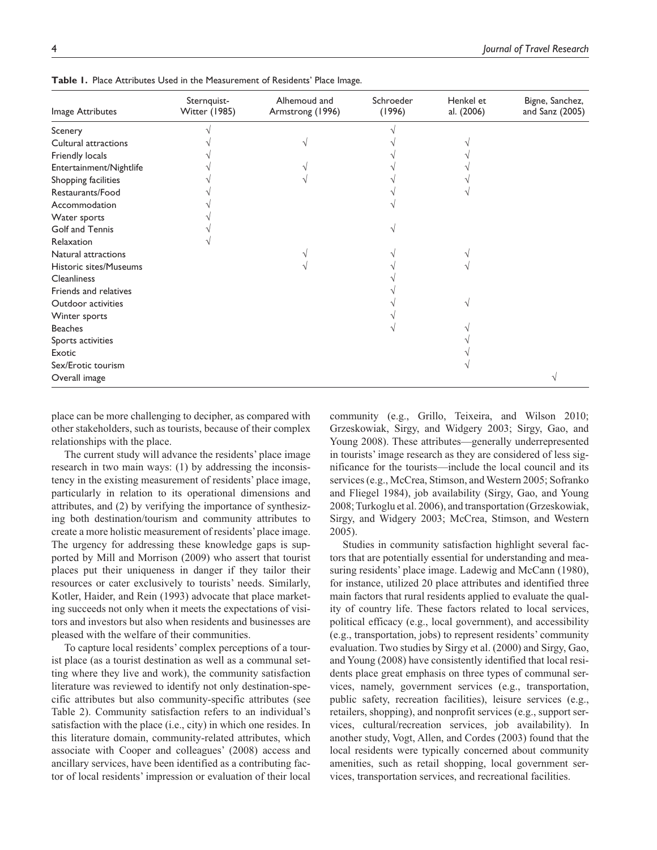| Image Attributes        | Sternquist-<br>Witter (1985) | Alhemoud and<br>Armstrong (1996) | Schroeder<br>(1996) | Henkel et<br>al. (2006) | Bigne, Sanchez,<br>and Sanz (2005) |
|-------------------------|------------------------------|----------------------------------|---------------------|-------------------------|------------------------------------|
| Scenery                 |                              |                                  |                     |                         |                                    |
| Cultural attractions    |                              |                                  |                     |                         |                                    |
| Friendly locals         |                              |                                  |                     |                         |                                    |
| Entertainment/Nightlife |                              |                                  |                     |                         |                                    |
| Shopping facilities     |                              |                                  |                     |                         |                                    |
| Restaurants/Food        |                              |                                  |                     |                         |                                    |
| Accommodation           |                              |                                  |                     |                         |                                    |
| Water sports            |                              |                                  |                     |                         |                                    |
| Golf and Tennis         |                              |                                  |                     |                         |                                    |
| Relaxation              |                              |                                  |                     |                         |                                    |
| Natural attractions     |                              |                                  |                     |                         |                                    |
| Historic sites/Museums  |                              |                                  |                     |                         |                                    |
| <b>Cleanliness</b>      |                              |                                  |                     |                         |                                    |
| Friends and relatives   |                              |                                  |                     |                         |                                    |
| Outdoor activities      |                              |                                  |                     |                         |                                    |
| Winter sports           |                              |                                  |                     |                         |                                    |
| <b>Beaches</b>          |                              |                                  |                     |                         |                                    |
| Sports activities       |                              |                                  |                     |                         |                                    |
| Exotic                  |                              |                                  |                     |                         |                                    |
| Sex/Erotic tourism      |                              |                                  |                     |                         |                                    |
| Overall image           |                              |                                  |                     |                         |                                    |

**Table 1.** Place Attributes Used in the Measurement of Residents' Place Image.

place can be more challenging to decipher, as compared with other stakeholders, such as tourists, because of their complex relationships with the place.

The current study will advance the residents' place image research in two main ways: (1) by addressing the inconsistency in the existing measurement of residents' place image, particularly in relation to its operational dimensions and attributes, and (2) by verifying the importance of synthesizing both destination/tourism and community attributes to create a more holistic measurement of residents' place image. The urgency for addressing these knowledge gaps is supported by Mill and Morrison (2009) who assert that tourist places put their uniqueness in danger if they tailor their resources or cater exclusively to tourists' needs. Similarly, Kotler, Haider, and Rein (1993) advocate that place marketing succeeds not only when it meets the expectations of visitors and investors but also when residents and businesses are pleased with the welfare of their communities.

To capture local residents' complex perceptions of a tourist place (as a tourist destination as well as a communal setting where they live and work), the community satisfaction literature was reviewed to identify not only destination-specific attributes but also community-specific attributes (see Table 2). Community satisfaction refers to an individual's satisfaction with the place (i.e., city) in which one resides. In this literature domain, community-related attributes, which associate with Cooper and colleagues' (2008) access and ancillary services, have been identified as a contributing factor of local residents' impression or evaluation of their local

community (e.g., Grillo, Teixeira, and Wilson 2010; Grzeskowiak, Sirgy, and Widgery 2003; Sirgy, Gao, and Young 2008). These attributes—generally underrepresented in tourists' image research as they are considered of less significance for the tourists—include the local council and its services (e.g., McCrea, Stimson, and Western 2005; Sofranko and Fliegel 1984), job availability (Sirgy, Gao, and Young 2008; Turkoglu et al. 2006), and transportation (Grzeskowiak, Sirgy, and Widgery 2003; McCrea, Stimson, and Western 2005).

Studies in community satisfaction highlight several factors that are potentially essential for understanding and measuring residents' place image. Ladewig and McCann (1980), for instance, utilized 20 place attributes and identified three main factors that rural residents applied to evaluate the quality of country life. These factors related to local services, political efficacy (e.g., local government), and accessibility (e.g., transportation, jobs) to represent residents' community evaluation. Two studies by Sirgy et al. (2000) and Sirgy, Gao, and Young (2008) have consistently identified that local residents place great emphasis on three types of communal services, namely, government services (e.g., transportation, public safety, recreation facilities), leisure services (e.g., retailers, shopping), and nonprofit services (e.g., support services, cultural/recreation services, job availability). In another study, Vogt, Allen, and Cordes (2003) found that the local residents were typically concerned about community amenities, such as retail shopping, local government services, transportation services, and recreational facilities.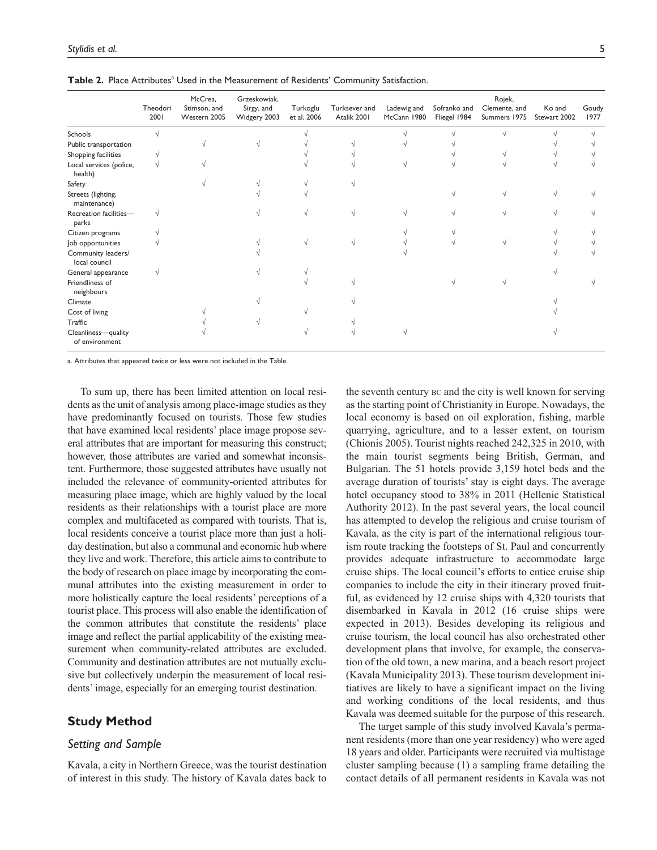|                                       | Theodori<br>2001 | McCrea,<br>Stimson, and<br>Western 2005 | Grzeskowiak,<br>Sirgy, and<br>Widgery 2003 | Turkoglu<br>et al. 2006 | Turksever and<br>Atalik 2001 | Ladewig and<br>McCann 1980 | Sofranko and<br>Fliegel 1984 | Rojek,<br>Clemente, and<br>Summers 1975 | Ko and<br>Stewart 2002 | Goudy<br>1977 |
|---------------------------------------|------------------|-----------------------------------------|--------------------------------------------|-------------------------|------------------------------|----------------------------|------------------------------|-----------------------------------------|------------------------|---------------|
| Schools                               |                  |                                         |                                            |                         |                              |                            |                              |                                         |                        |               |
| Public transportation                 |                  |                                         |                                            |                         |                              |                            |                              |                                         |                        |               |
| Shopping facilities                   |                  |                                         |                                            |                         |                              |                            |                              |                                         |                        |               |
| Local services (police,<br>health)    |                  |                                         |                                            |                         |                              |                            |                              |                                         |                        |               |
| Safety                                |                  |                                         |                                            |                         |                              |                            |                              |                                         |                        |               |
| Streets (lighting,<br>maintenance)    |                  |                                         |                                            |                         |                              |                            |                              |                                         |                        |               |
| Recreation facilities-<br>parks       |                  |                                         |                                            |                         |                              |                            |                              |                                         |                        |               |
| Citizen programs                      |                  |                                         |                                            |                         |                              |                            |                              |                                         |                        |               |
| Job opportunities                     |                  |                                         |                                            |                         |                              |                            |                              |                                         |                        |               |
| Community leaders/<br>local council   |                  |                                         |                                            |                         |                              |                            |                              |                                         |                        |               |
| General appearance                    |                  |                                         |                                            |                         |                              |                            |                              |                                         |                        |               |
| Friendliness of<br>neighbours         |                  |                                         |                                            |                         |                              |                            |                              |                                         |                        |               |
| Climate                               |                  |                                         |                                            |                         |                              |                            |                              |                                         |                        |               |
| Cost of living                        |                  |                                         |                                            |                         |                              |                            |                              |                                         |                        |               |
| Traffic                               |                  |                                         |                                            |                         |                              |                            |                              |                                         |                        |               |
| Cleanliness-quality<br>of environment |                  |                                         |                                            |                         |                              |                            |                              |                                         |                        |               |

Table 2. Place Attributes<sup>a</sup> Used in the Measurement of Residents' Community Satisfaction.

a. Attributes that appeared twice or less were not included in the Table.

To sum up, there has been limited attention on local residents as the unit of analysis among place-image studies as they have predominantly focused on tourists. Those few studies that have examined local residents' place image propose several attributes that are important for measuring this construct; however, those attributes are varied and somewhat inconsistent. Furthermore, those suggested attributes have usually not included the relevance of community-oriented attributes for measuring place image, which are highly valued by the local residents as their relationships with a tourist place are more complex and multifaceted as compared with tourists. That is, local residents conceive a tourist place more than just a holiday destination, but also a communal and economic hub where they live and work. Therefore, this article aims to contribute to the body of research on place image by incorporating the communal attributes into the existing measurement in order to more holistically capture the local residents' perceptions of a tourist place. This process will also enable the identification of the common attributes that constitute the residents' place image and reflect the partial applicability of the existing measurement when community-related attributes are excluded. Community and destination attributes are not mutually exclusive but collectively underpin the measurement of local residents' image, especially for an emerging tourist destination.

#### **Study Method**

#### *Setting and Sample*

Kavala, a city in Northern Greece, was the tourist destination of interest in this study. The history of Kavala dates back to

the seventh century bc and the city is well known for serving as the starting point of Christianity in Europe. Nowadays, the local economy is based on oil exploration, fishing, marble quarrying, agriculture, and to a lesser extent, on tourism (Chionis 2005). Tourist nights reached 242,325 in 2010, with the main tourist segments being British, German, and Bulgarian. The 51 hotels provide 3,159 hotel beds and the average duration of tourists' stay is eight days. The average hotel occupancy stood to 38% in 2011 (Hellenic Statistical Authority 2012). In the past several years, the local council has attempted to develop the religious and cruise tourism of Kavala, as the city is part of the international religious tourism route tracking the footsteps of St. Paul and concurrently provides adequate infrastructure to accommodate large cruise ships. The local council's efforts to entice cruise ship companies to include the city in their itinerary proved fruitful, as evidenced by 12 cruise ships with 4,320 tourists that disembarked in Kavala in 2012 (16 cruise ships were expected in 2013). Besides developing its religious and cruise tourism, the local council has also orchestrated other development plans that involve, for example, the conservation of the old town, a new marina, and a beach resort project (Kavala Municipality 2013). These tourism development initiatives are likely to have a significant impact on the living and working conditions of the local residents, and thus Kavala was deemed suitable for the purpose of this research.

The target sample of this study involved Kavala's permanent residents (more than one year residency) who were aged 18 years and older. Participants were recruited via multistage cluster sampling because (1) a sampling frame detailing the contact details of all permanent residents in Kavala was not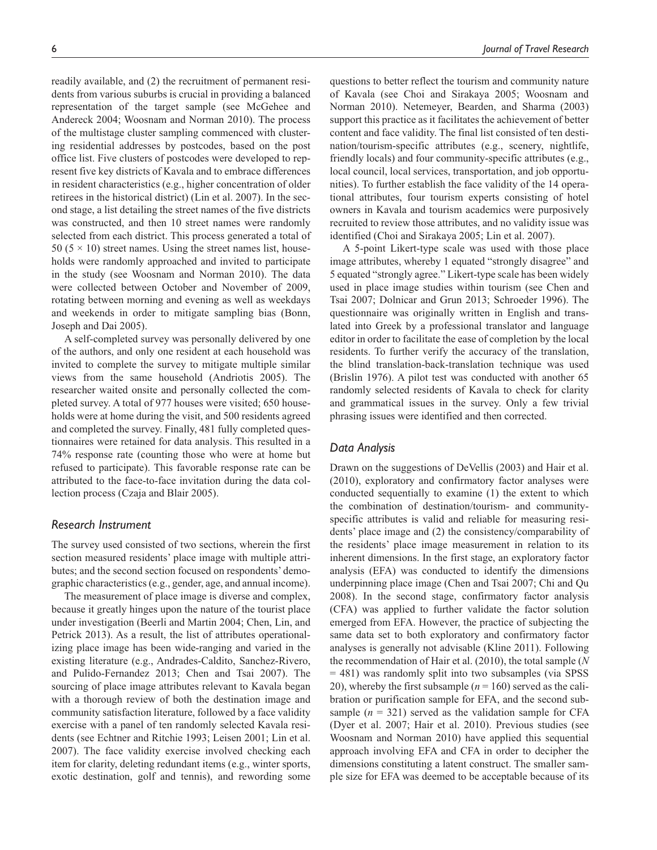readily available, and (2) the recruitment of permanent residents from various suburbs is crucial in providing a balanced representation of the target sample (see McGehee and Andereck 2004; Woosnam and Norman 2010). The process of the multistage cluster sampling commenced with clustering residential addresses by postcodes, based on the post office list. Five clusters of postcodes were developed to represent five key districts of Kavala and to embrace differences in resident characteristics (e.g., higher concentration of older retirees in the historical district) (Lin et al. 2007). In the second stage, a list detailing the street names of the five districts was constructed, and then 10 street names were randomly selected from each district. This process generated a total of 50 ( $5 \times 10$ ) street names. Using the street names list, households were randomly approached and invited to participate in the study (see Woosnam and Norman 2010). The data were collected between October and November of 2009, rotating between morning and evening as well as weekdays and weekends in order to mitigate sampling bias (Bonn, Joseph and Dai 2005).

A self-completed survey was personally delivered by one of the authors, and only one resident at each household was invited to complete the survey to mitigate multiple similar views from the same household (Andriotis 2005). The researcher waited onsite and personally collected the completed survey. A total of 977 houses were visited; 650 households were at home during the visit, and 500 residents agreed and completed the survey. Finally, 481 fully completed questionnaires were retained for data analysis. This resulted in a 74% response rate (counting those who were at home but refused to participate). This favorable response rate can be attributed to the face-to-face invitation during the data collection process (Czaja and Blair 2005).

#### *Research Instrument*

The survey used consisted of two sections, wherein the first section measured residents' place image with multiple attributes; and the second section focused on respondents' demographic characteristics (e.g., gender, age, and annual income).

The measurement of place image is diverse and complex, because it greatly hinges upon the nature of the tourist place under investigation (Beerli and Martin 2004; Chen, Lin, and Petrick 2013). As a result, the list of attributes operationalizing place image has been wide-ranging and varied in the existing literature (e.g., Andrades-Caldito, Sanchez-Rivero, and Pulido-Fernandez 2013; Chen and Tsai 2007). The sourcing of place image attributes relevant to Kavala began with a thorough review of both the destination image and community satisfaction literature, followed by a face validity exercise with a panel of ten randomly selected Kavala residents (see Echtner and Ritchie 1993; Leisen 2001; Lin et al. 2007). The face validity exercise involved checking each item for clarity, deleting redundant items (e.g., winter sports, exotic destination, golf and tennis), and rewording some questions to better reflect the tourism and community nature of Kavala (see Choi and Sirakaya 2005; Woosnam and Norman 2010). Netemeyer, Bearden, and Sharma (2003) support this practice as it facilitates the achievement of better content and face validity. The final list consisted of ten destination/tourism-specific attributes (e.g., scenery, nightlife, friendly locals) and four community-specific attributes (e.g., local council, local services, transportation, and job opportunities). To further establish the face validity of the 14 operational attributes, four tourism experts consisting of hotel owners in Kavala and tourism academics were purposively recruited to review those attributes, and no validity issue was identified (Choi and Sirakaya 2005; Lin et al. 2007).

A 5-point Likert-type scale was used with those place image attributes, whereby 1 equated "strongly disagree" and 5 equated "strongly agree." Likert-type scale has been widely used in place image studies within tourism (see Chen and Tsai 2007; Dolnicar and Grun 2013; Schroeder 1996). The questionnaire was originally written in English and translated into Greek by a professional translator and language editor in order to facilitate the ease of completion by the local residents. To further verify the accuracy of the translation, the blind translation-back-translation technique was used (Brislin 1976). A pilot test was conducted with another 65 randomly selected residents of Kavala to check for clarity and grammatical issues in the survey. Only a few trivial phrasing issues were identified and then corrected.

#### *Data Analysis*

Drawn on the suggestions of DeVellis (2003) and Hair et al. (2010), exploratory and confirmatory factor analyses were conducted sequentially to examine (1) the extent to which the combination of destination/tourism- and communityspecific attributes is valid and reliable for measuring residents' place image and (2) the consistency/comparability of the residents' place image measurement in relation to its inherent dimensions. In the first stage, an exploratory factor analysis (EFA) was conducted to identify the dimensions underpinning place image (Chen and Tsai 2007; Chi and Qu 2008). In the second stage, confirmatory factor analysis (CFA) was applied to further validate the factor solution emerged from EFA. However, the practice of subjecting the same data set to both exploratory and confirmatory factor analyses is generally not advisable (Kline 2011). Following the recommendation of Hair et al. (2010), the total sample (*N* = 481) was randomly split into two subsamples (via SPSS 20), whereby the first subsample  $(n = 160)$  served as the calibration or purification sample for EFA, and the second subsample  $(n = 321)$  served as the validation sample for CFA (Dyer et al. 2007; Hair et al. 2010). Previous studies (see Woosnam and Norman 2010) have applied this sequential approach involving EFA and CFA in order to decipher the dimensions constituting a latent construct. The smaller sample size for EFA was deemed to be acceptable because of its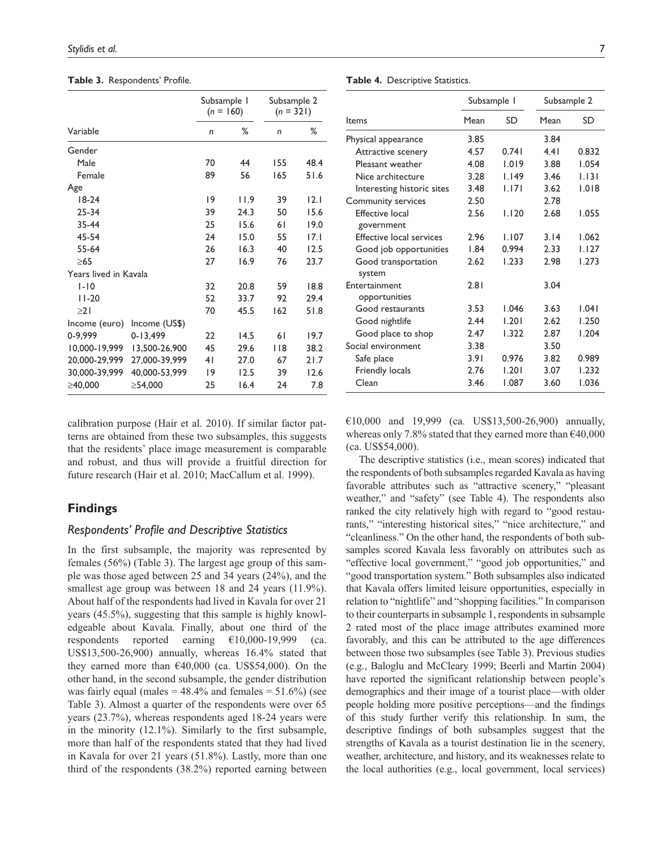**Table 3.** Respondents' Profile.

|                       |               | Subsample 1<br>$(n = 160)$ |      | Subsample 2<br>$(n = 321)$ |      |
|-----------------------|---------------|----------------------------|------|----------------------------|------|
| Variable              |               | n                          | %    | n                          | %    |
| Gender                |               |                            |      |                            |      |
| Male                  |               | 70                         | 44   | 155                        | 48.4 |
| Female                |               | 89                         | 56   | 165                        | 51.6 |
| Age                   |               |                            |      |                            |      |
| $18-24$               |               | 19                         | 11.9 | 39                         | 12.1 |
| 25-34                 |               | 39                         | 24.3 | 50                         | 15.6 |
| 35-44                 |               | 25                         | 15.6 | 61                         | 19.0 |
| 45-54                 |               | 24                         | 15.0 | 55                         | 17.1 |
| 55-64                 |               | 26                         | 16.3 | 40                         | 12.5 |
| >65                   |               | 27                         | 16.9 | 76                         | 23.7 |
| Years lived in Kavala |               |                            |      |                            |      |
| $1 - 10$              |               | 32                         | 20.8 | 59                         | 18.8 |
| $11-20$               |               | 52                         | 33.7 | 92                         | 29.4 |
| >21                   |               | 70                         | 45.5 | 162                        | 51.8 |
| Income (euro)         | Income (US\$) |                            |      |                            |      |
| 0-9,999               | $0 - 13,499$  | 22                         | 14.5 | 61                         | 19.7 |
| 10,000-19,999         | 13,500-26,900 | 45                         | 29.6 | 118                        | 38.2 |
| 20,000-29,999         | 27,000-39,999 | 4 <sub>1</sub>             | 27.0 | 67                         | 21.7 |
| 30,000-39,999         | 40,000-53,999 | 19                         | 12.5 | 39                         | 12.6 |
| ≥40,000               | ≥54,000       | 25                         | 16.4 | 24                         | 7.8  |

calibration purpose (Hair et al. 2010). If similar factor patterns are obtained from these two subsamples, this suggests that the residents' place image measurement is comparable and robust, and thus will provide a fruitful direction for future research (Hair et al. 2010; MacCallum et al. 1999).

# **Findings**

#### *Respondents' Profile and Descriptive Statistics*

In the first subsample, the majority was represented by females (56%) (Table 3). The largest age group of this sample was those aged between 25 and 34 years (24%), and the smallest age group was between 18 and 24 years (11.9%). About half of the respondents had lived in Kavala for over 21 years (45.5%), suggesting that this sample is highly knowledgeable about Kavala. Finally, about one third of the respondents reported earning  $\epsilon$ 10,000-19,999 (ca. US\$13,500-26,900) annually, whereas 16.4% stated that they earned more than  $€40,000$  (ca. US\$54,000). On the other hand, in the second subsample, the gender distribution was fairly equal (males  $= 48.4\%$  and females  $= 51.6\%$ ) (see Table 3). Almost a quarter of the respondents were over 65 years (23.7%), whereas respondents aged 18-24 years were in the minority (12.1%). Similarly to the first subsample, more than half of the respondents stated that they had lived in Kavala for over 21 years (51.8%). Lastly, more than one third of the respondents (38.2%) reported earning between

|                                 | Subsample I |       | Subsample 2 |       |
|---------------------------------|-------------|-------|-------------|-------|
| Items                           | Mean        | SD    | Mean        | SD    |
| Physical appearance             | 3.85        |       | 3.84        |       |
| Attractive scenery              | 4.57        | 0.741 | 4.41        | 0.832 |
| Pleasant weather                | 4.08        | 1.019 | 3.88        | 1.054 |
| Nice architecture               | 3.28        | 1.149 | 3.46        | 1.131 |
| Interesting historic sites      | 3.48        | 1.171 | 3.62        | 1.018 |
| Community services              | 2.50        |       | 2.78        |       |
| Effective local                 | 2.56        | 1.120 | 2.68        | 1.055 |
| government                      |             |       |             |       |
| <b>Effective local services</b> | 2.96        | 1.107 | 3.14        | 1.062 |
| Good job opportunities          | 1.84        | 0.994 | 2.33        | 1.127 |
| Good transportation             | 2.62        | 1.233 | 2.98        | 1.273 |
| system                          |             |       |             |       |
| Entertainment                   | 2.81        |       | 3.04        |       |
| opportunities                   |             |       |             |       |
| Good restaurants                | 3.53        | 1.046 | 3.63        | 1.041 |
| Good nightlife                  | 2.44        | 1.201 | 2.62        | 1.250 |
| Good place to shop              | 2.47        | 1.322 | 2.87        | 1.204 |
| Social environment              | 3.38        |       | 3.50        |       |
| Safe place                      | 3.91        | 0.976 | 3.82        | 0.989 |
| Friendly locals                 | 2.76        | 1.201 | 3.07        | 1.232 |
| Clean                           | 3.46        | 1.087 | 3.60        | 1.036 |

€10,000 and 19,999 (ca. US\$13,500-26,900) annually, whereas only 7.8% stated that they earned more than  $\epsilon$ 40,000 (ca. US\$54,000).

The descriptive statistics (i.e., mean scores) indicated that the respondents of both subsamples regarded Kavala as having favorable attributes such as "attractive scenery," "pleasant weather," and "safety" (see Table 4). The respondents also ranked the city relatively high with regard to "good restaurants," "interesting historical sites," "nice architecture," and "cleanliness." On the other hand, the respondents of both subsamples scored Kavala less favorably on attributes such as "effective local government," "good job opportunities," and "good transportation system." Both subsamples also indicated that Kavala offers limited leisure opportunities, especially in relation to "nightlife" and "shopping facilities." In comparison to their counterparts in subsample 1, respondents in subsample 2 rated most of the place image attributes examined more favorably, and this can be attributed to the age differences between those two subsamples (see Table 3). Previous studies (e.g., Baloglu and McCleary 1999; Beerli and Martin 2004) have reported the significant relationship between people's demographics and their image of a tourist place—with older people holding more positive perceptions—and the findings of this study further verify this relationship. In sum, the descriptive findings of both subsamples suggest that the strengths of Kavala as a tourist destination lie in the scenery, weather, architecture, and history, and its weaknesses relate to the local authorities (e.g., local government, local services)

**Table 4.** Descriptive Statistics.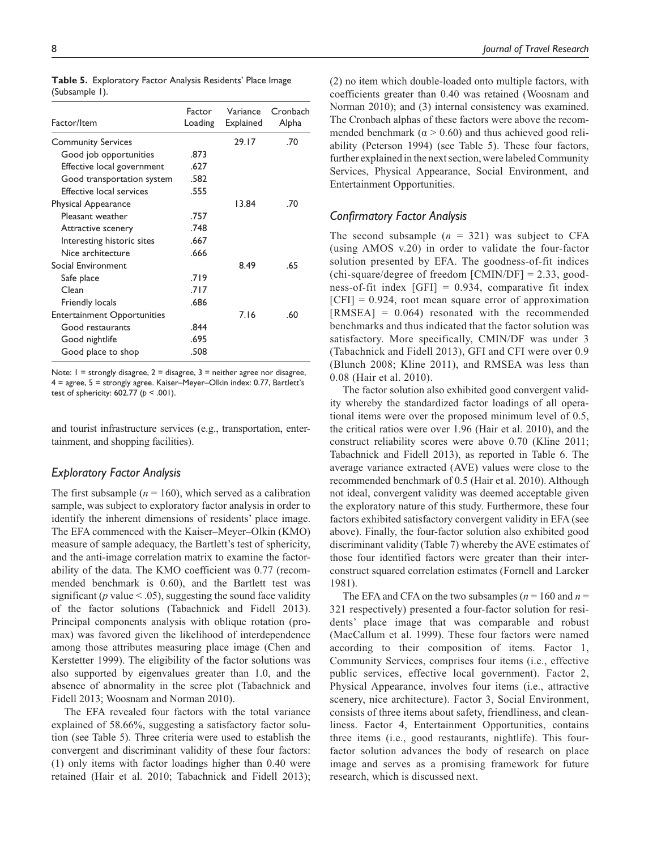| Factor/Item                        | Factor<br>Loading | Variance<br>Explained | Cronbach<br>Alpha |
|------------------------------------|-------------------|-----------------------|-------------------|
| <b>Community Services</b>          |                   | 29.17                 | .70               |
| Good job opportunities             | .873              |                       |                   |
| Effective local government         | .627              |                       |                   |
| Good transportation system         | .582              |                       |                   |
| <b>Effective local services</b>    | .555              |                       |                   |
| Physical Appearance                |                   | 13.84                 | .70               |
| Pleasant weather                   | .757              |                       |                   |
| Attractive scenery                 | .748              |                       |                   |
| Interesting historic sites         | .667              |                       |                   |
| Nice architecture                  | .666              |                       |                   |
| Social Environment                 |                   | 8.49                  | .65               |
| Safe place                         | .719              |                       |                   |
| $C$ lean                           | .717              |                       |                   |
| Friendly locals                    | .686              |                       |                   |
| <b>Entertainment Opportunities</b> |                   | 7.16                  | .60               |
| Good restaurants                   | .844              |                       |                   |
| Good nightlife                     | .695              |                       |                   |
| Good place to shop                 | .508              |                       |                   |

**Table 5.** Exploratory Factor Analysis Residents' Place Image (Subsample 1).

Note:  $1 =$  strongly disagree,  $2 =$  disagree,  $3 =$  neither agree nor disagree, 4 = agree, 5 = strongly agree. Kaiser–Meyer–Olkin index: 0.77, Bartlett's test of sphericity: 602.77 (*p* < .001).

and tourist infrastructure services (e.g., transportation, entertainment, and shopping facilities).

#### *Exploratory Factor Analysis*

The first subsample  $(n = 160)$ , which served as a calibration sample, was subject to exploratory factor analysis in order to identify the inherent dimensions of residents' place image. The EFA commenced with the Kaiser–Meyer–Olkin (KMO) measure of sample adequacy, the Bartlett's test of sphericity, and the anti-image correlation matrix to examine the factorability of the data. The KMO coefficient was 0.77 (recommended benchmark is 0.60), and the Bartlett test was significant ( $p$  value  $\leq$  .05), suggesting the sound face validity of the factor solutions (Tabachnick and Fidell 2013). Principal components analysis with oblique rotation (promax) was favored given the likelihood of interdependence among those attributes measuring place image (Chen and Kerstetter 1999). The eligibility of the factor solutions was also supported by eigenvalues greater than 1.0, and the absence of abnormality in the scree plot (Tabachnick and Fidell 2013; Woosnam and Norman 2010).

The EFA revealed four factors with the total variance explained of 58.66%, suggesting a satisfactory factor solution (see Table 5). Three criteria were used to establish the convergent and discriminant validity of these four factors: (1) only items with factor loadings higher than 0.40 were retained (Hair et al. 2010; Tabachnick and Fidell 2013);

(2) no item which double-loaded onto multiple factors, with coefficients greater than 0.40 was retained (Woosnam and Norman 2010); and (3) internal consistency was examined. The Cronbach alphas of these factors were above the recommended benchmark ( $\alpha > 0.60$ ) and thus achieved good reliability (Peterson 1994) (see Table 5). These four factors, further explained in the next section, were labeled Community Services, Physical Appearance, Social Environment, and Entertainment Opportunities.

#### *Confirmatory Factor Analysis*

The second subsample  $(n = 321)$  was subject to CFA (using AMOS v.20) in order to validate the four-factor solution presented by EFA. The goodness-of-fit indices (chi-square/degree of freedom  $[CMIN/DF] = 2.33$ , goodness-of-fit index  $[GFI] = 0.934$ , comparative fit index  $[CFI] = 0.924$ , root mean square error of approximation [RMSEA] = 0.064) resonated with the recommended benchmarks and thus indicated that the factor solution was satisfactory. More specifically, CMIN/DF was under 3 (Tabachnick and Fidell 2013), GFI and CFI were over 0.9 (Blunch 2008; Kline 2011), and RMSEA was less than 0.08 (Hair et al. 2010).

The factor solution also exhibited good convergent validity whereby the standardized factor loadings of all operational items were over the proposed minimum level of 0.5, the critical ratios were over 1.96 (Hair et al. 2010), and the construct reliability scores were above 0.70 (Kline 2011; Tabachnick and Fidell 2013), as reported in Table 6. The average variance extracted (AVE) values were close to the recommended benchmark of 0.5 (Hair et al. 2010). Although not ideal, convergent validity was deemed acceptable given the exploratory nature of this study. Furthermore, these four factors exhibited satisfactory convergent validity in EFA (see above). Finally, the four-factor solution also exhibited good discriminant validity (Table 7) whereby the AVE estimates of those four identified factors were greater than their interconstruct squared correlation estimates (Fornell and Larcker 1981).

The EFA and CFA on the two subsamples ( $n = 160$  and  $n =$ 321 respectively) presented a four-factor solution for residents' place image that was comparable and robust (MacCallum et al. 1999). These four factors were named according to their composition of items. Factor 1, Community Services, comprises four items (i.e., effective public services, effective local government). Factor 2, Physical Appearance, involves four items (i.e., attractive scenery, nice architecture). Factor 3, Social Environment, consists of three items about safety, friendliness, and cleanliness. Factor 4, Entertainment Opportunities, contains three items (i.e., good restaurants, nightlife). This fourfactor solution advances the body of research on place image and serves as a promising framework for future research, which is discussed next.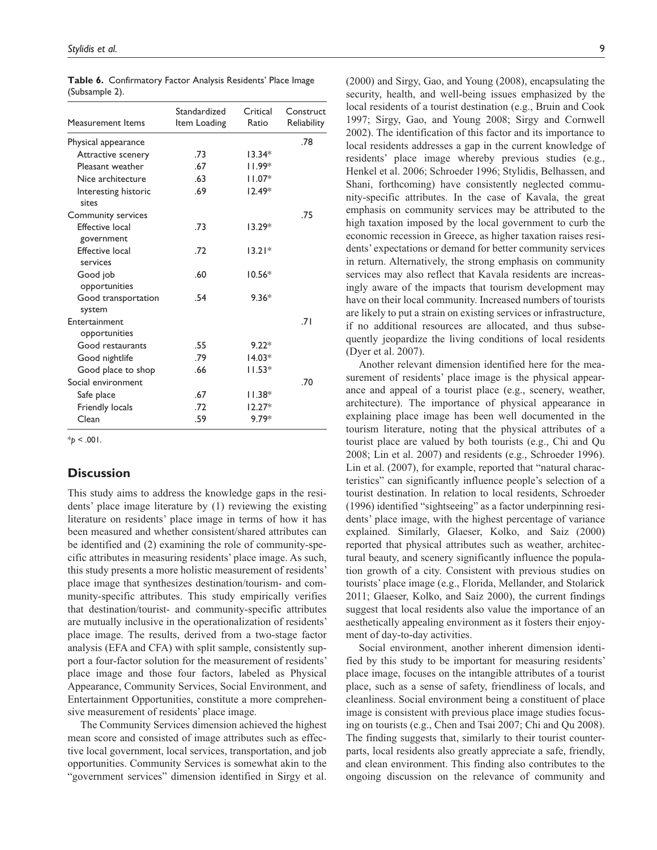| Measurement Items                    | Standardized<br>Item Loading | Critical<br>Ratio | Construct<br>Reliability |
|--------------------------------------|------------------------------|-------------------|--------------------------|
| Physical appearance                  |                              |                   | .78                      |
| Attractive scenery                   | .73                          | $13.34*$          |                          |
| Pleasant weather                     | .67                          | $11.99*$          |                          |
| Nice architecture                    | .63                          | $11.07*$          |                          |
| Interesting historic<br>sites        | .69                          | $12.49*$          |                          |
| Community services                   |                              |                   | .75                      |
| <b>Effective local</b><br>government | .73                          | 13.29*            |                          |
| <b>Effective local</b><br>services   | .72                          | $13.21*$          |                          |
| Good job<br>opportunities            | .60                          | $10.56*$          |                          |
| Good transportation<br>system        | .54                          | $9.36*$           |                          |
| Entertainment<br>opportunities       |                              |                   | .71                      |
| Good restaurants                     | .55                          | $9.22*$           |                          |
| Good nightlife                       | .79                          | $14.03*$          |                          |
| Good place to shop                   | .66                          | $11.53*$          |                          |
| Social environment                   |                              |                   | .70                      |
| Safe place                           | .67                          | $11.38*$          |                          |
| Friendly locals                      | .72                          | $12.27*$          |                          |
| Clean                                | .59                          | $9.79*$           |                          |

**Table 6.** Confirmatory Factor Analysis Residents' Place Image (Subsample 2).

 $*_{p}$  < .001.

# **Discussion**

This study aims to address the knowledge gaps in the residents' place image literature by (1) reviewing the existing literature on residents' place image in terms of how it has been measured and whether consistent/shared attributes can be identified and (2) examining the role of community-specific attributes in measuring residents' place image. As such, this study presents a more holistic measurement of residents' place image that synthesizes destination/tourism- and community-specific attributes. This study empirically verifies that destination/tourist- and community-specific attributes are mutually inclusive in the operationalization of residents' place image. The results, derived from a two-stage factor analysis (EFA and CFA) with split sample, consistently support a four-factor solution for the measurement of residents' place image and those four factors, labeled as Physical Appearance, Community Services, Social Environment, and Entertainment Opportunities, constitute a more comprehensive measurement of residents' place image.

The Community Services dimension achieved the highest mean score and consisted of image attributes such as effective local government, local services, transportation, and job opportunities. Community Services is somewhat akin to the "government services" dimension identified in Sirgy et al. (2000) and Sirgy, Gao, and Young (2008), encapsulating the security, health, and well-being issues emphasized by the local residents of a tourist destination (e.g., Bruin and Cook 1997; Sirgy, Gao, and Young 2008; Sirgy and Cornwell 2002). The identification of this factor and its importance to local residents addresses a gap in the current knowledge of residents' place image whereby previous studies (e.g., Henkel et al. 2006; Schroeder 1996; Stylidis, Belhassen, and Shani, forthcoming) have consistently neglected community-specific attributes. In the case of Kavala, the great emphasis on community services may be attributed to the high taxation imposed by the local government to curb the economic recession in Greece, as higher taxation raises residents' expectations or demand for better community services in return. Alternatively, the strong emphasis on community services may also reflect that Kavala residents are increasingly aware of the impacts that tourism development may have on their local community. Increased numbers of tourists are likely to put a strain on existing services or infrastructure,

Another relevant dimension identified here for the measurement of residents' place image is the physical appearance and appeal of a tourist place (e.g., scenery, weather, architecture). The importance of physical appearance in explaining place image has been well documented in the tourism literature, noting that the physical attributes of a tourist place are valued by both tourists (e.g., Chi and Qu 2008; Lin et al. 2007) and residents (e.g., Schroeder 1996). Lin et al. (2007), for example, reported that "natural characteristics" can significantly influence people's selection of a tourist destination. In relation to local residents, Schroeder (1996) identified "sightseeing" as a factor underpinning residents' place image, with the highest percentage of variance explained. Similarly, Glaeser, Kolko, and Saiz (2000) reported that physical attributes such as weather, architectural beauty, and scenery significantly influence the population growth of a city. Consistent with previous studies on tourists' place image (e.g., Florida, Mellander, and Stolarick 2011; Glaeser, Kolko, and Saiz 2000), the current findings suggest that local residents also value the importance of an aesthetically appealing environment as it fosters their enjoyment of day-to-day activities.

if no additional resources are allocated, and thus subsequently jeopardize the living conditions of local residents

(Dyer et al. 2007).

Social environment, another inherent dimension identified by this study to be important for measuring residents' place image, focuses on the intangible attributes of a tourist place, such as a sense of safety, friendliness of locals, and cleanliness. Social environment being a constituent of place image is consistent with previous place image studies focusing on tourists (e.g., Chen and Tsai 2007; Chi and Qu 2008). The finding suggests that, similarly to their tourist counterparts, local residents also greatly appreciate a safe, friendly, and clean environment. This finding also contributes to the ongoing discussion on the relevance of community and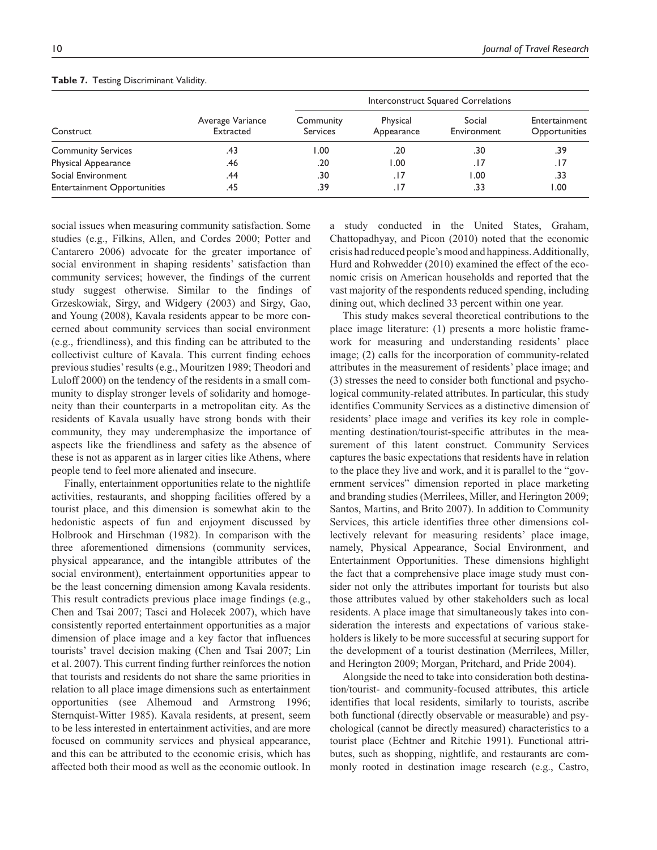|                                    |                               | Interconstruct Squared Correlations |                        |                       |                                |
|------------------------------------|-------------------------------|-------------------------------------|------------------------|-----------------------|--------------------------------|
| Construct                          | Average Variance<br>Extracted | Community<br><b>Services</b>        | Physical<br>Appearance | Social<br>Environment | Entertainment<br>Opportunities |
| <b>Community Services</b>          | .43                           | 00. ا                               | .20                    | .30                   | .39                            |
| Physical Appearance                | .46                           | .20                                 | 1.00                   | .17                   | .17                            |
| Social Environment                 | .44                           | .30                                 | .17                    | 1.00                  | .33                            |
| <b>Entertainment Opportunities</b> | .45                           | .39                                 | . 17                   | .33                   | 00. ا                          |

#### **Table 7.** Testing Discriminant Validity.

social issues when measuring community satisfaction. Some studies (e.g., Filkins, Allen, and Cordes 2000; Potter and Cantarero 2006) advocate for the greater importance of social environment in shaping residents' satisfaction than community services; however, the findings of the current study suggest otherwise. Similar to the findings of Grzeskowiak, Sirgy, and Widgery (2003) and Sirgy, Gao, and Young (2008), Kavala residents appear to be more concerned about community services than social environment (e.g., friendliness), and this finding can be attributed to the collectivist culture of Kavala. This current finding echoes previous studies' results (e.g., Mouritzen 1989; Theodori and Luloff 2000) on the tendency of the residents in a small community to display stronger levels of solidarity and homogeneity than their counterparts in a metropolitan city. As the residents of Kavala usually have strong bonds with their community, they may underemphasize the importance of aspects like the friendliness and safety as the absence of these is not as apparent as in larger cities like Athens, where people tend to feel more alienated and insecure.

Finally, entertainment opportunities relate to the nightlife activities, restaurants, and shopping facilities offered by a tourist place, and this dimension is somewhat akin to the hedonistic aspects of fun and enjoyment discussed by Holbrook and Hirschman (1982). In comparison with the three aforementioned dimensions (community services, physical appearance, and the intangible attributes of the social environment), entertainment opportunities appear to be the least concerning dimension among Kavala residents. This result contradicts previous place image findings (e.g., Chen and Tsai 2007; Tasci and Holecek 2007), which have consistently reported entertainment opportunities as a major dimension of place image and a key factor that influences tourists' travel decision making (Chen and Tsai 2007; Lin et al. 2007). This current finding further reinforces the notion that tourists and residents do not share the same priorities in relation to all place image dimensions such as entertainment opportunities (see Alhemoud and Armstrong 1996; Sternquist-Witter 1985). Kavala residents, at present, seem to be less interested in entertainment activities, and are more focused on community services and physical appearance, and this can be attributed to the economic crisis, which has affected both their mood as well as the economic outlook. In a study conducted in the United States, Graham, Chattopadhyay, and Picon (2010) noted that the economic crisis had reduced people's mood and happiness. Additionally, Hurd and Rohwedder (2010) examined the effect of the economic crisis on American households and reported that the vast majority of the respondents reduced spending, including dining out, which declined 33 percent within one year.

This study makes several theoretical contributions to the place image literature: (1) presents a more holistic framework for measuring and understanding residents' place image; (2) calls for the incorporation of community-related attributes in the measurement of residents' place image; and (3) stresses the need to consider both functional and psychological community-related attributes. In particular, this study identifies Community Services as a distinctive dimension of residents' place image and verifies its key role in complementing destination/tourist-specific attributes in the measurement of this latent construct. Community Services captures the basic expectations that residents have in relation to the place they live and work, and it is parallel to the "government services" dimension reported in place marketing and branding studies (Merrilees, Miller, and Herington 2009; Santos, Martins, and Brito 2007). In addition to Community Services, this article identifies three other dimensions collectively relevant for measuring residents' place image, namely, Physical Appearance, Social Environment, and Entertainment Opportunities. These dimensions highlight the fact that a comprehensive place image study must consider not only the attributes important for tourists but also those attributes valued by other stakeholders such as local residents. A place image that simultaneously takes into consideration the interests and expectations of various stakeholders is likely to be more successful at securing support for the development of a tourist destination (Merrilees, Miller, and Herington 2009; Morgan, Pritchard, and Pride 2004).

Alongside the need to take into consideration both destination/tourist- and community-focused attributes, this article identifies that local residents, similarly to tourists, ascribe both functional (directly observable or measurable) and psychological (cannot be directly measured) characteristics to a tourist place (Echtner and Ritchie 1991). Functional attributes, such as shopping, nightlife, and restaurants are commonly rooted in destination image research (e.g., Castro,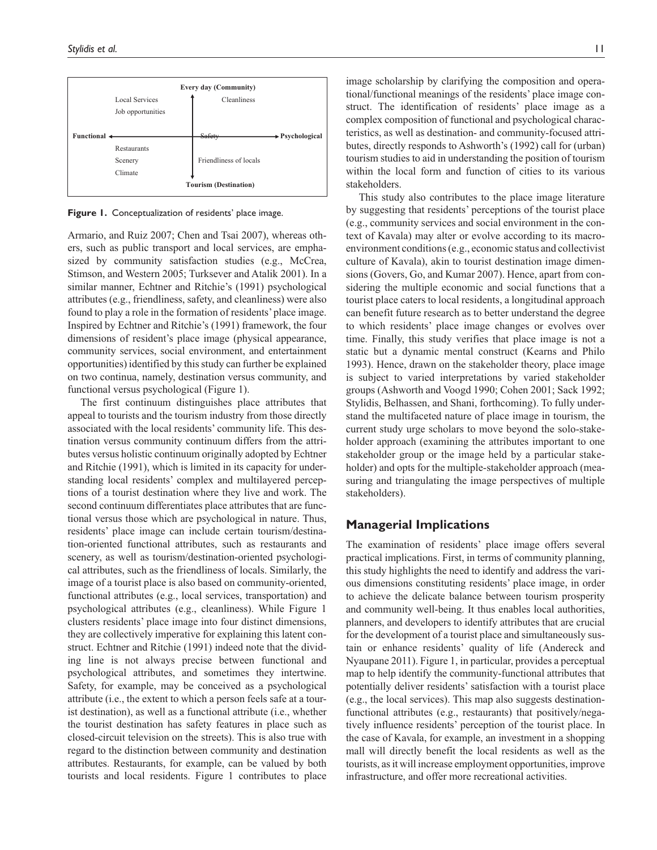|                              | <b>Every day (Community)</b> |                        |                        |  |  |  |
|------------------------------|------------------------------|------------------------|------------------------|--|--|--|
|                              | Local Services               | <b>Cleanliness</b>     |                        |  |  |  |
|                              | Job opportunities            |                        |                        |  |  |  |
|                              |                              |                        |                        |  |  |  |
| <b>Functional</b>            |                              | Safet                  | <b>→ Psychological</b> |  |  |  |
|                              | <b>Restaurants</b>           |                        |                        |  |  |  |
|                              | Scenery                      | Friendliness of locals |                        |  |  |  |
|                              | Climate                      |                        |                        |  |  |  |
| <b>Tourism (Destination)</b> |                              |                        |                        |  |  |  |

**Figure 1.** Conceptualization of residents' place image.

Armario, and Ruiz 2007; Chen and Tsai 2007), whereas others, such as public transport and local services, are emphasized by community satisfaction studies (e.g., McCrea, Stimson, and Western 2005; Turksever and Atalik 2001). In a similar manner, Echtner and Ritchie's (1991) psychological attributes (e.g., friendliness, safety, and cleanliness) were also found to play a role in the formation of residents' place image. Inspired by Echtner and Ritchie's (1991) framework, the four dimensions of resident's place image (physical appearance, community services, social environment, and entertainment opportunities) identified by this study can further be explained on two continua, namely, destination versus community, and functional versus psychological (Figure 1).

The first continuum distinguishes place attributes that appeal to tourists and the tourism industry from those directly associated with the local residents' community life. This destination versus community continuum differs from the attributes versus holistic continuum originally adopted by Echtner and Ritchie (1991), which is limited in its capacity for understanding local residents' complex and multilayered perceptions of a tourist destination where they live and work. The second continuum differentiates place attributes that are functional versus those which are psychological in nature. Thus, residents' place image can include certain tourism/destination-oriented functional attributes, such as restaurants and scenery, as well as tourism/destination-oriented psychological attributes, such as the friendliness of locals. Similarly, the image of a tourist place is also based on community-oriented, functional attributes (e.g., local services, transportation) and psychological attributes (e.g., cleanliness). While Figure 1 clusters residents' place image into four distinct dimensions, they are collectively imperative for explaining this latent construct. Echtner and Ritchie (1991) indeed note that the dividing line is not always precise between functional and psychological attributes, and sometimes they intertwine. Safety, for example, may be conceived as a psychological attribute (i.e., the extent to which a person feels safe at a tourist destination), as well as a functional attribute (i.e., whether the tourist destination has safety features in place such as closed-circuit television on the streets). This is also true with regard to the distinction between community and destination attributes. Restaurants, for example, can be valued by both tourists and local residents. Figure 1 contributes to place

image scholarship by clarifying the composition and operational/functional meanings of the residents' place image construct. The identification of residents' place image as a complex composition of functional and psychological characteristics, as well as destination- and community-focused attributes, directly responds to Ashworth's (1992) call for (urban) tourism studies to aid in understanding the position of tourism within the local form and function of cities to its various stakeholders.

This study also contributes to the place image literature by suggesting that residents' perceptions of the tourist place (e.g., community services and social environment in the context of Kavala) may alter or evolve according to its macroenvironment conditions (e.g., economic status and collectivist culture of Kavala), akin to tourist destination image dimensions (Govers, Go, and Kumar 2007). Hence, apart from considering the multiple economic and social functions that a tourist place caters to local residents, a longitudinal approach can benefit future research as to better understand the degree to which residents' place image changes or evolves over time. Finally, this study verifies that place image is not a static but a dynamic mental construct (Kearns and Philo 1993). Hence, drawn on the stakeholder theory, place image is subject to varied interpretations by varied stakeholder groups (Ashworth and Voogd 1990; Cohen 2001; Sack 1992; Stylidis, Belhassen, and Shani, forthcoming). To fully understand the multifaceted nature of place image in tourism, the current study urge scholars to move beyond the solo-stakeholder approach (examining the attributes important to one stakeholder group or the image held by a particular stakeholder) and opts for the multiple-stakeholder approach (measuring and triangulating the image perspectives of multiple stakeholders).

# **Managerial Implications**

The examination of residents' place image offers several practical implications. First, in terms of community planning, this study highlights the need to identify and address the various dimensions constituting residents' place image, in order to achieve the delicate balance between tourism prosperity and community well-being. It thus enables local authorities, planners, and developers to identify attributes that are crucial for the development of a tourist place and simultaneously sustain or enhance residents' quality of life (Andereck and Nyaupane 2011). Figure 1, in particular, provides a perceptual map to help identify the community-functional attributes that potentially deliver residents' satisfaction with a tourist place (e.g., the local services). This map also suggests destinationfunctional attributes (e.g., restaurants) that positively/negatively influence residents' perception of the tourist place. In the case of Kavala, for example, an investment in a shopping mall will directly benefit the local residents as well as the tourists, as it will increase employment opportunities, improve infrastructure, and offer more recreational activities.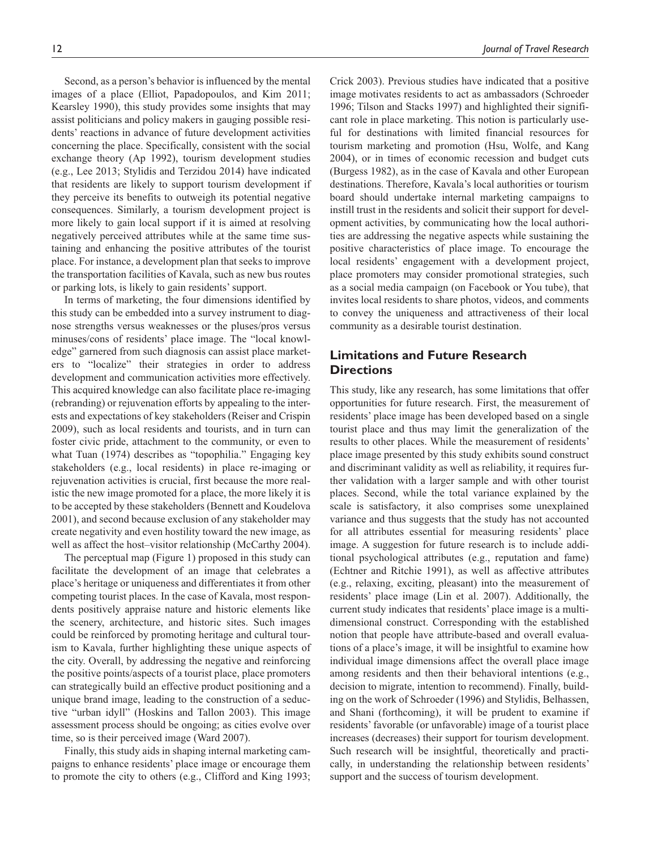Second, as a person's behavior is influenced by the mental images of a place (Elliot, Papadopoulos, and Kim 2011; Kearsley 1990), this study provides some insights that may assist politicians and policy makers in gauging possible residents' reactions in advance of future development activities concerning the place. Specifically, consistent with the social exchange theory (Ap 1992), tourism development studies (e.g., Lee 2013; Stylidis and Terzidou 2014) have indicated that residents are likely to support tourism development if they perceive its benefits to outweigh its potential negative consequences. Similarly, a tourism development project is more likely to gain local support if it is aimed at resolving negatively perceived attributes while at the same time sustaining and enhancing the positive attributes of the tourist place. For instance, a development plan that seeks to improve the transportation facilities of Kavala, such as new bus routes or parking lots, is likely to gain residents' support.

In terms of marketing, the four dimensions identified by this study can be embedded into a survey instrument to diagnose strengths versus weaknesses or the pluses/pros versus minuses/cons of residents' place image. The "local knowledge" garnered from such diagnosis can assist place marketers to "localize" their strategies in order to address development and communication activities more effectively. This acquired knowledge can also facilitate place re-imaging (rebranding) or rejuvenation efforts by appealing to the interests and expectations of key stakeholders (Reiser and Crispin 2009), such as local residents and tourists, and in turn can foster civic pride, attachment to the community, or even to what Tuan (1974) describes as "topophilia." Engaging key stakeholders (e.g., local residents) in place re-imaging or rejuvenation activities is crucial, first because the more realistic the new image promoted for a place, the more likely it is to be accepted by these stakeholders (Bennett and Koudelova 2001), and second because exclusion of any stakeholder may create negativity and even hostility toward the new image, as well as affect the host–visitor relationship (McCarthy 2004).

The perceptual map (Figure 1) proposed in this study can facilitate the development of an image that celebrates a place's heritage or uniqueness and differentiates it from other competing tourist places. In the case of Kavala, most respondents positively appraise nature and historic elements like the scenery, architecture, and historic sites. Such images could be reinforced by promoting heritage and cultural tourism to Kavala, further highlighting these unique aspects of the city. Overall, by addressing the negative and reinforcing the positive points/aspects of a tourist place, place promoters can strategically build an effective product positioning and a unique brand image, leading to the construction of a seductive "urban idyll" (Hoskins and Tallon 2003). This image assessment process should be ongoing; as cities evolve over time, so is their perceived image (Ward 2007).

Finally, this study aids in shaping internal marketing campaigns to enhance residents' place image or encourage them to promote the city to others (e.g., Clifford and King 1993;

Crick 2003). Previous studies have indicated that a positive image motivates residents to act as ambassadors (Schroeder 1996; Tilson and Stacks 1997) and highlighted their significant role in place marketing. This notion is particularly useful for destinations with limited financial resources for tourism marketing and promotion (Hsu, Wolfe, and Kang 2004), or in times of economic recession and budget cuts (Burgess 1982), as in the case of Kavala and other European destinations. Therefore, Kavala's local authorities or tourism board should undertake internal marketing campaigns to instill trust in the residents and solicit their support for development activities, by communicating how the local authorities are addressing the negative aspects while sustaining the positive characteristics of place image. To encourage the local residents' engagement with a development project, place promoters may consider promotional strategies, such as a social media campaign (on Facebook or You tube), that invites local residents to share photos, videos, and comments to convey the uniqueness and attractiveness of their local community as a desirable tourist destination.

# **Limitations and Future Research Directions**

This study, like any research, has some limitations that offer opportunities for future research. First, the measurement of residents' place image has been developed based on a single tourist place and thus may limit the generalization of the results to other places. While the measurement of residents' place image presented by this study exhibits sound construct and discriminant validity as well as reliability, it requires further validation with a larger sample and with other tourist places. Second, while the total variance explained by the scale is satisfactory, it also comprises some unexplained variance and thus suggests that the study has not accounted for all attributes essential for measuring residents' place image. A suggestion for future research is to include additional psychological attributes (e.g., reputation and fame) (Echtner and Ritchie 1991), as well as affective attributes (e.g., relaxing, exciting, pleasant) into the measurement of residents' place image (Lin et al. 2007). Additionally, the current study indicates that residents' place image is a multidimensional construct. Corresponding with the established notion that people have attribute-based and overall evaluations of a place's image, it will be insightful to examine how individual image dimensions affect the overall place image among residents and then their behavioral intentions (e.g., decision to migrate, intention to recommend). Finally, building on the work of Schroeder (1996) and Stylidis, Belhassen, and Shani (forthcoming), it will be prudent to examine if residents' favorable (or unfavorable) image of a tourist place increases (decreases) their support for tourism development. Such research will be insightful, theoretically and practically, in understanding the relationship between residents' support and the success of tourism development.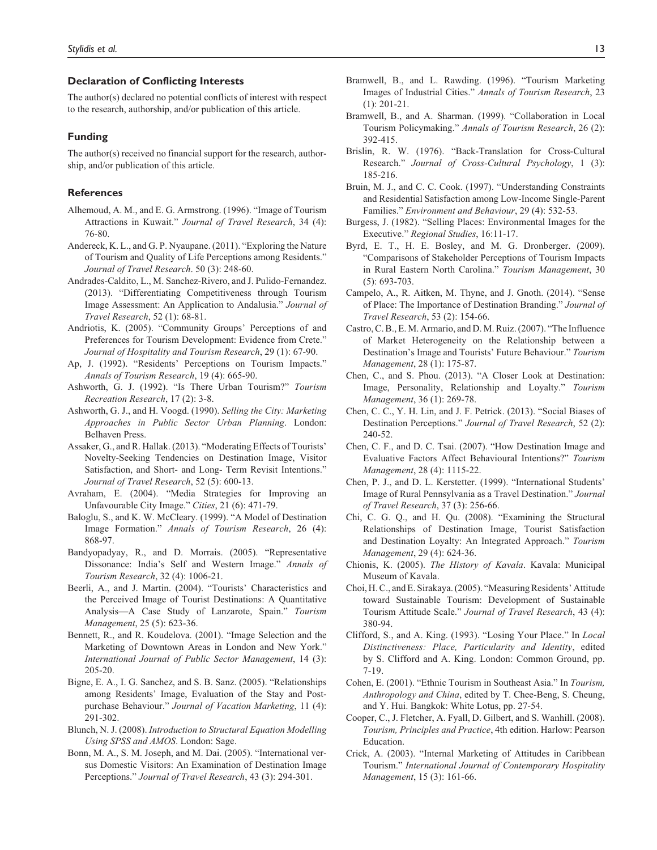#### **Declaration of Conflicting Interests**

The author(s) declared no potential conflicts of interest with respect to the research, authorship, and/or publication of this article.

#### **Funding**

The author(s) received no financial support for the research, authorship, and/or publication of this article.

#### **References**

- Alhemoud, A. M., and E. G. Armstrong. (1996). "Image of Tourism Attractions in Kuwait." *Journal of Travel Research*, 34 (4): 76-80.
- Andereck, K. L., and G. P. Nyaupane. (2011). "Exploring the Nature of Tourism and Quality of Life Perceptions among Residents." *Journal of Travel Research*. 50 (3): 248-60.
- Andrades-Caldito, L., M. Sanchez-Rivero, and J. Pulido-Fernandez. (2013). "Differentiating Competitiveness through Tourism Image Assessment: An Application to Andalusia." *Journal of Travel Research*, 52 (1): 68-81.
- Andriotis, K. (2005). "Community Groups' Perceptions of and Preferences for Tourism Development: Evidence from Crete." *Journal of Hospitality and Tourism Research*, 29 (1): 67-90.
- Ap, J. (1992). "Residents' Perceptions on Tourism Impacts." *Annals of Tourism Research*, 19 (4): 665-90.
- Ashworth, G. J. (1992). "Is There Urban Tourism?" *Tourism Recreation Research*, 17 (2): 3-8.
- Ashworth, G. J., and H. Voogd. (1990). *Selling the City: Marketing Approaches in Public Sector Urban Planning*. London: Belhaven Press.
- Assaker, G., and R. Hallak. (2013). "Moderating Effects of Tourists' Novelty-Seeking Tendencies on Destination Image, Visitor Satisfaction, and Short- and Long- Term Revisit Intentions." *Journal of Travel Research*, 52 (5): 600-13.
- Avraham, E. (2004). "Media Strategies for Improving an Unfavourable City Image." *Cities*, 21 (6): 471-79.
- Baloglu, S., and K. W. McCleary. (1999). "A Model of Destination Image Formation." *Annals of Tourism Research*, 26 (4): 868-97.
- Bandyopadyay, R., and D. Morrais. (2005). "Representative Dissonance: India's Self and Western Image." *Annals of Tourism Research*, 32 (4): 1006-21.
- Beerli, A., and J. Martin. (2004). "Tourists' Characteristics and the Perceived Image of Tourist Destinations: A Quantitative Analysis—A Case Study of Lanzarote, Spain." *Tourism Management*, 25 (5): 623-36.
- Bennett, R., and R. Koudelova. (2001). "Image Selection and the Marketing of Downtown Areas in London and New York." *International Journal of Public Sector Management*, 14 (3): 205-20.
- Bigne, E. A., I. G. Sanchez, and S. B. Sanz. (2005). "Relationships among Residents' Image, Evaluation of the Stay and Postpurchase Behaviour." *Journal of Vacation Marketing*, 11 (4): 291-302.
- Blunch, N. J. (2008). *Introduction to Structural Equation Modelling Using SPSS and AMOS*. London: Sage.
- Bonn, M. A., S. M. Joseph, and M. Dai. (2005). "International versus Domestic Visitors: An Examination of Destination Image Perceptions." *Journal of Travel Research*, 43 (3): 294-301.
- Bramwell, B., and L. Rawding. (1996). "Tourism Marketing Images of Industrial Cities." *Annals of Tourism Research*, 23 (1): 201-21.
- Bramwell, B., and A. Sharman. (1999). "Collaboration in Local Tourism Policymaking." *Annals of Tourism Research*, 26 (2): 392-415.
- Brislin, R. W. (1976). "Back-Translation for Cross-Cultural Research." *Journal of Cross-Cultural Psychology*, 1 (3): 185-216.
- Bruin, M. J., and C. C. Cook. (1997). "Understanding Constraints and Residential Satisfaction among Low-Income Single-Parent Families." *Environment and Behaviour*, 29 (4): 532-53.
- Burgess, J. (1982). "Selling Places: Environmental Images for the Executive." *Regional Studies*, 16:11-17.
- Byrd, E. T., H. E. Bosley, and M. G. Dronberger. (2009). "Comparisons of Stakeholder Perceptions of Tourism Impacts in Rural Eastern North Carolina." *Tourism Management*, 30 (5): 693-703.
- Campelo, A., R. Aitken, M. Thyne, and J. Gnoth. (2014). "Sense of Place: The Importance of Destination Branding." *Journal of Travel Research*, 53 (2): 154-66.
- Castro, C. B., E. M. Armario, and D. M. Ruiz. (2007). "The Influence of Market Heterogeneity on the Relationship between a Destination's Image and Tourists' Future Behaviour." *Tourism Management*, 28 (1): 175-87.
- Chen, C., and S. Phou. (2013). "A Closer Look at Destination: Image, Personality, Relationship and Loyalty." *Tourism Management*, 36 (1): 269-78.
- Chen, C. C., Y. H. Lin, and J. F. Petrick. (2013). "Social Biases of Destination Perceptions." *Journal of Travel Research*, 52 (2): 240-52.
- Chen, C. F., and D. C. Tsai. (2007). "How Destination Image and Evaluative Factors Affect Behavioural Intentions?" *Tourism Management*, 28 (4): 1115-22.
- Chen, P. J., and D. L. Kerstetter. (1999). "International Students' Image of Rural Pennsylvania as a Travel Destination." *Journal of Travel Research*, 37 (3): 256-66.
- Chi, C. G. Q., and H. Qu. (2008). "Examining the Structural Relationships of Destination Image, Tourist Satisfaction and Destination Loyalty: An Integrated Approach." *Tourism Management*, 29 (4): 624-36.
- Chionis, K. (2005). *The History of Kavala*. Kavala: Municipal Museum of Kavala.
- Choi, H. C., and E. Sirakaya. (2005). "Measuring Residents' Attitude toward Sustainable Tourism: Development of Sustainable Tourism Attitude Scale." *Journal of Travel Research*, 43 (4): 380-94.
- Clifford, S., and A. King. (1993). "Losing Your Place." In *Local Distinctiveness: Place, Particularity and Identity*, edited by S. Clifford and A. King. London: Common Ground, pp. 7-19.
- Cohen, E. (2001). "Ethnic Tourism in Southeast Asia." In *Tourism, Anthropology and China*, edited by T. Chee-Beng, S. Cheung, and Y. Hui. Bangkok: White Lotus, pp. 27-54.
- Cooper, C., J. Fletcher, A. Fyall, D. Gilbert, and S. Wanhill. (2008). *Tourism, Principles and Practice*, 4th edition. Harlow: Pearson Education.
- Crick, A. (2003). "Internal Marketing of Attitudes in Caribbean Tourism." *International Journal of Contemporary Hospitality Management*, 15 (3): 161-66.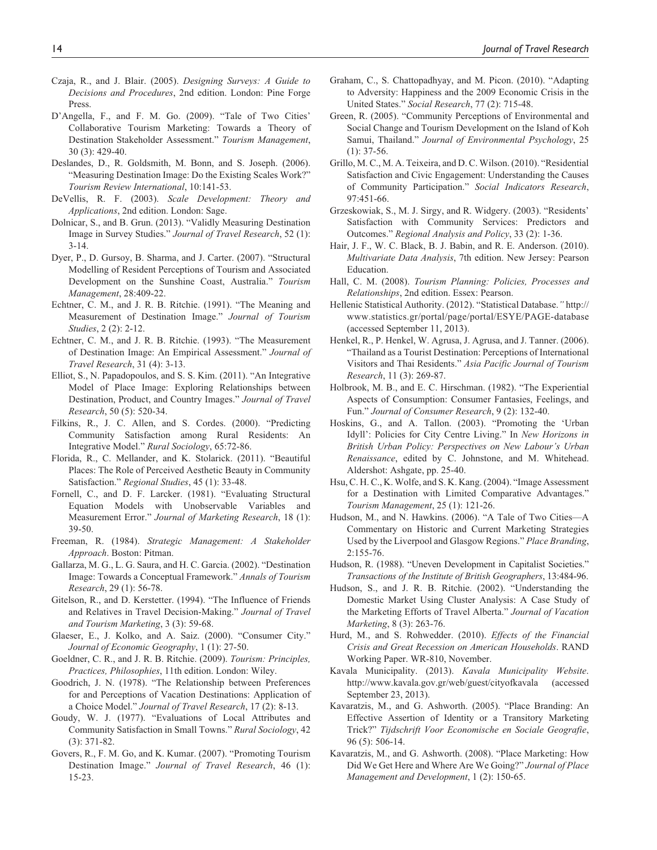- Czaja, R., and J. Blair. (2005). *Designing Surveys: A Guide to Decisions and Procedures*, 2nd edition. London: Pine Forge Press.
- D'Angella, F., and F. M. Go. (2009). "Tale of Two Cities' Collaborative Tourism Marketing: Towards a Theory of Destination Stakeholder Assessment." *Tourism Management*, 30 (3): 429-40.
- Deslandes, D., R. Goldsmith, M. Bonn, and S. Joseph. (2006). "Measuring Destination Image: Do the Existing Scales Work?" *Tourism Review International*, 10:141-53.
- DeVellis, R. F. (2003). *Scale Development: Theory and Applications*, 2nd edition. London: Sage.
- Dolnicar, S., and B. Grun. (2013). "Validly Measuring Destination Image in Survey Studies." *Journal of Travel Research*, 52 (1): 3-14.
- Dyer, P., D. Gursoy, B. Sharma, and J. Carter. (2007). "Structural Modelling of Resident Perceptions of Tourism and Associated Development on the Sunshine Coast, Australia." *Tourism Management*, 28:409-22.
- Echtner, C. M., and J. R. B. Ritchie. (1991). "The Meaning and Measurement of Destination Image." *Journal of Tourism Studies*, 2 (2): 2-12.
- Echtner, C. M., and J. R. B. Ritchie. (1993). "The Measurement of Destination Image: An Empirical Assessment." *Journal of Travel Research*, 31 (4): 3-13.
- Elliot, S., N. Papadopoulos, and S. S. Kim. (2011). "An Integrative Model of Place Image: Exploring Relationships between Destination, Product, and Country Images." *Journal of Travel Research*, 50 (5): 520-34.
- Filkins, R., J. C. Allen, and S. Cordes. (2000). "Predicting Community Satisfaction among Rural Residents: An Integrative Model." *Rural Sociology*, 65:72-86.
- Florida, R., C. Mellander, and K. Stolarick. (2011). "Beautiful Places: The Role of Perceived Aesthetic Beauty in Community Satisfaction." *Regional Studies*, 45 (1): 33-48.
- Fornell, C., and D. F. Larcker. (1981). "Evaluating Structural Equation Models with Unobservable Variables and Measurement Error." *Journal of Marketing Research*, 18 (1): 39-50.
- Freeman, R. (1984). *Strategic Management: A Stakeholder Approach*. Boston: Pitman.
- Gallarza, M. G., L. G. Saura, and H. C. Garcia. (2002). "Destination Image: Towards a Conceptual Framework." *Annals of Tourism Research*, 29 (1): 56-78.
- Gitelson, R., and D. Kerstetter. (1994). "The Influence of Friends and Relatives in Travel Decision-Making." *Journal of Travel and Tourism Marketing*, 3 (3): 59-68.
- Glaeser, E., J. Kolko, and A. Saiz. (2000). "Consumer City." *Journal of Economic Geography*, 1 (1): 27-50.
- Goeldner, C. R., and J. R. B. Ritchie. (2009). *Tourism: Principles, Practices, Philosophies*, 11th edition. London: Wiley.
- Goodrich, J. N. (1978). "The Relationship between Preferences for and Perceptions of Vacation Destinations: Application of a Choice Model." *Journal of Travel Research*, 17 (2): 8-13.
- Goudy, W. J. (1977). "Evaluations of Local Attributes and Community Satisfaction in Small Towns." *Rural Sociology*, 42 (3): 371-82.
- Govers, R., F. M. Go, and K. Kumar. (2007). "Promoting Tourism Destination Image." *Journal of Travel Research*, 46 (1): 15-23.
- Graham, C., S. Chattopadhyay, and M. Picon. (2010). "Adapting to Adversity: Happiness and the 2009 Economic Crisis in the United States." *Social Research*, 77 (2): 715-48.
- Green, R. (2005). "Community Perceptions of Environmental and Social Change and Tourism Development on the Island of Koh Samui, Thailand." *Journal of Environmental Psychology*, 25  $(1): 37-56.$
- Grillo, M. C., M. A. Teixeira, and D. C. Wilson. (2010). "Residential Satisfaction and Civic Engagement: Understanding the Causes of Community Participation." *Social Indicators Research*, 97:451-66.
- Grzeskowiak, S., M. J. Sirgy, and R. Widgery. (2003). "Residents' Satisfaction with Community Services: Predictors and Outcomes." *Regional Analysis and Policy*, 33 (2): 1-36.
- Hair, J. F., W. C. Black, B. J. Babin, and R. E. Anderson. (2010). *Multivariate Data Analysis*, 7th edition. New Jersey: Pearson Education.
- Hall, C. M. (2008). *Tourism Planning: Policies, Processes and Relationships*, 2nd edition. Essex: Pearson.
- Hellenic Statistical Authority. (2012). "Statistical Database.*"* [http://](http://www.statistics.gr/portal/page/portal/ESYE/PAGE-database) [www.statistics.gr/portal/page/portal/ESYE/PAGE-database](http://www.statistics.gr/portal/page/portal/ESYE/PAGE-database) (accessed September 11, 2013).
- Henkel, R., P. Henkel, W. Agrusa, J. Agrusa, and J. Tanner. (2006). "Thailand as a Tourist Destination: Perceptions of International Visitors and Thai Residents." *Asia Pacific Journal of Tourism Research*, 11 (3): 269-87.
- Holbrook, M. B., and E. C. Hirschman. (1982). "The Experiential Aspects of Consumption: Consumer Fantasies, Feelings, and Fun." *Journal of Consumer Research*, 9 (2): 132-40.
- Hoskins, G., and A. Tallon. (2003). "Promoting the 'Urban Idyll': Policies for City Centre Living." In *New Horizons in British Urban Policy: Perspectives on New Labour's Urban Renaissance*, edited by C. Johnstone, and M. Whitehead. Aldershot: Ashgate, pp. 25-40.
- Hsu, C. H. C., K. Wolfe, and S. K. Kang. (2004). "Image Assessment for a Destination with Limited Comparative Advantages." *Tourism Management*, 25 (1): 121-26.
- Hudson, M., and N. Hawkins. (2006). "A Tale of Two Cities—A Commentary on Historic and Current Marketing Strategies Used by the Liverpool and Glasgow Regions." *Place Branding*, 2:155-76.
- Hudson, R. (1988). "Uneven Development in Capitalist Societies." *Transactions of the Institute of British Geographers*, 13:484-96.
- Hudson, S., and J. R. B. Ritchie. (2002). "Understanding the Domestic Market Using Cluster Analysis: A Case Study of the Marketing Efforts of Travel Alberta." *Journal of Vacation Marketing*, 8 (3): 263-76.
- Hurd, M., and S. Rohwedder. (2010). *Effects of the Financial Crisis and Great Recession on American Households*. RAND Working Paper. WR-810, November.
- Kavala Municipality. (2013). *Kavala Municipality Website*. <http://www.kavala.gov.gr/web/guest/cityofkavala>(accessed September 23, 2013).
- Kavaratzis, M., and G. Ashworth. (2005). "Place Branding: An Effective Assertion of Identity or a Transitory Marketing Trick?" *Tijdschrift Voor Economische en Sociale Geografie*, 96 (5): 506-14.
- Kavaratzis, M., and G. Ashworth. (2008). "Place Marketing: How Did We Get Here and Where Are We Going?" *Journal of Place Management and Development*, 1 (2): 150-65.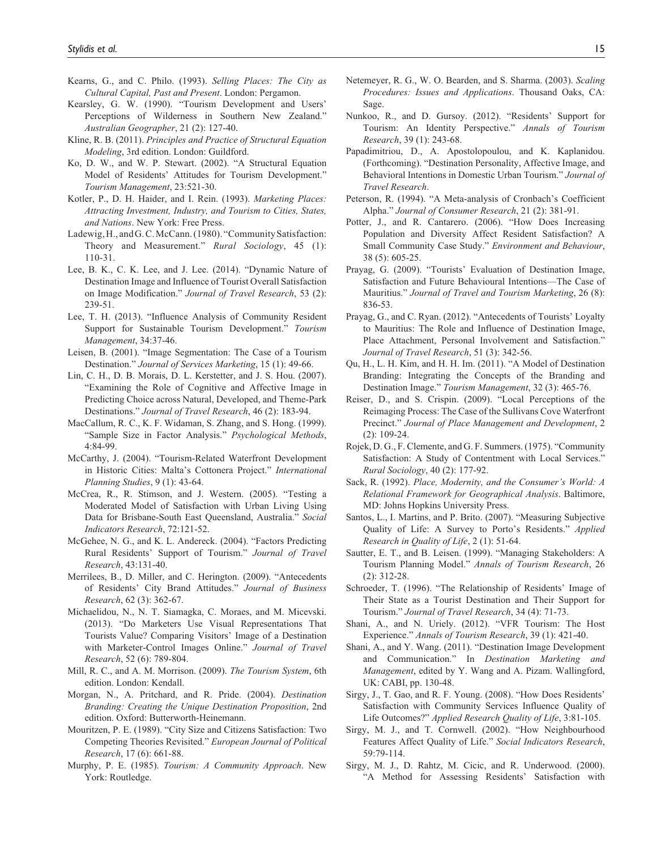- Kearns, G., and C. Philo. (1993). *Selling Places: The City as Cultural Capital, Past and Present*. London: Pergamon.
- Kearsley, G. W. (1990). "Tourism Development and Users' Perceptions of Wilderness in Southern New Zealand." *Australian Geographer*, 21 (2): 127-40.
- Kline, R. B. (2011). *Principles and Practice of Structural Equation Modeling*, 3rd edition. London: Guildford.
- Ko, D. W., and W. P. Stewart. (2002). "A Structural Equation Model of Residents' Attitudes for Tourism Development." *Tourism Management*, 23:521-30.
- Kotler, P., D. H. Haider, and I. Rein. (1993). *Marketing Places: Attracting Investment, Industry, and Tourism to Cities, States, and Nations*. New York: Free Press.
- Ladewig, H., and G. C. McCann. (1980). "Community Satisfaction: Theory and Measurement." *Rural Sociology*, 45 (1): 110-31.
- Lee, B. K., C. K. Lee, and J. Lee. (2014). "Dynamic Nature of Destination Image and Influence of Tourist Overall Satisfaction on Image Modification." *Journal of Travel Research*, 53 (2): 239-51.
- Lee, T. H. (2013). "Influence Analysis of Community Resident Support for Sustainable Tourism Development." *Tourism Management*, 34:37-46.
- Leisen, B. (2001). "Image Segmentation: The Case of a Tourism Destination." *Journal of Services Marketing*, 15 (1): 49-66.
- Lin, C. H., D. B. Morais, D. L. Kerstetter, and J. S. Hou. (2007). "Examining the Role of Cognitive and Affective Image in Predicting Choice across Natural, Developed, and Theme-Park Destinations." *Journal of Travel Research*, 46 (2): 183-94.
- MacCallum, R. C., K. F. Widaman, S. Zhang, and S. Hong. (1999). "Sample Size in Factor Analysis." *Psychological Methods*, 4:84-99.
- McCarthy, J. (2004). "Tourism-Related Waterfront Development in Historic Cities: Malta's Cottonera Project." *International Planning Studies*, 9 (1): 43-64.
- McCrea, R., R. Stimson, and J. Western. (2005). "Testing a Moderated Model of Satisfaction with Urban Living Using Data for Brisbane-South East Queensland, Australia." *Social Indicators Research*, 72:121-52.
- McGehee, N. G., and K. L. Andereck. (2004). "Factors Predicting Rural Residents' Support of Tourism." *Journal of Travel Research*, 43:131-40.
- Merrilees, B., D. Miller, and C. Herington. (2009). "Antecedents of Residents' City Brand Attitudes." *Journal of Business Research*, 62 (3): 362-67.
- Michaelidou, N., N. T. Siamagka, C. Moraes, and M. Micevski. (2013). "Do Marketers Use Visual Representations That Tourists Value? Comparing Visitors' Image of a Destination with Marketer-Control Images Online." *Journal of Travel Research*, 52 (6): 789-804.
- Mill, R. C., and A. M. Morrison. (2009). *The Tourism System*, 6th edition. London: Kendall.
- Morgan, N., A. Pritchard, and R. Pride. (2004). *Destination Branding: Creating the Unique Destination Proposition*, 2nd edition. Oxford: Butterworth-Heinemann.
- Mouritzen, P. E. (1989). "City Size and Citizens Satisfaction: Two Competing Theories Revisited." *European Journal of Political Research*, 17 (6): 661-88.
- Murphy, P. E. (1985). *Tourism: A Community Approach*. New York: Routledge.
- Netemeyer, R. G., W. O. Bearden, and S. Sharma. (2003). *Scaling Procedures: Issues and Applications*. Thousand Oaks, CA: Sage.
- Nunkoo, R., and D. Gursoy. (2012). "Residents' Support for Tourism: An Identity Perspective." *Annals of Tourism Research*, 39 (1): 243-68.
- Papadimitriou, D., A. Apostolopoulou, and K. Kaplanidou. (Forthcoming). "Destination Personality, Affective Image, and Behavioral Intentions in Domestic Urban Tourism." *Journal of Travel Research*.
- Peterson, R. (1994). "A Meta-analysis of Cronbach's Coefficient Alpha." *Journal of Consumer Research*, 21 (2): 381-91.
- Potter, J., and R. Cantarero. (2006). "How Does Increasing Population and Diversity Affect Resident Satisfaction? A Small Community Case Study." *Environment and Behaviour*, 38 (5): 605-25.
- Prayag, G. (2009). "Tourists' Evaluation of Destination Image, Satisfaction and Future Behavioural Intentions—The Case of Mauritius." *Journal of Travel and Tourism Marketing*, 26 (8): 836-53.
- Prayag, G., and C. Ryan. (2012). "Antecedents of Tourists' Loyalty to Mauritius: The Role and Influence of Destination Image, Place Attachment, Personal Involvement and Satisfaction." *Journal of Travel Research*, 51 (3): 342-56.
- Qu, H., L. H. Kim, and H. H. Im. (2011). "A Model of Destination Branding: Integrating the Concepts of the Branding and Destination Image." *Tourism Management*, 32 (3): 465-76.
- Reiser, D., and S. Crispin. (2009). "Local Perceptions of the Reimaging Process: The Case of the Sullivans Cove Waterfront Precinct." *Journal of Place Management and Development*, 2 (2): 109-24.
- Rojek, D. G., F. Clemente, and G. F. Summers. (1975). "Community Satisfaction: A Study of Contentment with Local Services." *Rural Sociology*, 40 (2): 177-92.
- Sack, R. (1992). *Place, Modernity, and the Consumer's World: A Relational Framework for Geographical Analysis*. Baltimore, MD: Johns Hopkins University Press.
- Santos, L., I. Martins, and P. Brito. (2007). "Measuring Subjective Quality of Life: A Survey to Porto's Residents." *Applied Research in Quality of Life*, 2 (1): 51-64.
- Sautter, E. T., and B. Leisen. (1999). "Managing Stakeholders: A Tourism Planning Model." *Annals of Tourism Research*, 26 (2): 312-28.
- Schroeder, T. (1996). "The Relationship of Residents' Image of Their State as a Tourist Destination and Their Support for Tourism." *Journal of Travel Research*, 34 (4): 71-73.
- Shani, A., and N. Uriely. (2012). "VFR Tourism: The Host Experience." *Annals of Tourism Research*, 39 (1): 421-40.
- Shani, A., and Y. Wang. (2011). "Destination Image Development and Communication." In *Destination Marketing and Management*, edited by Y. Wang and A. Pizam. Wallingford, UK: CABI, pp. 130-48.
- Sirgy, J., T. Gao, and R. F. Young. (2008). "How Does Residents' Satisfaction with Community Services Influence Quality of Life Outcomes?" *Applied Research Quality of Life*, 3:81-105.
- Sirgy, M. J., and T. Cornwell. (2002). "How Neighbourhood Features Affect Quality of Life." *Social Indicators Research*, 59:79-114.
- Sirgy, M. J., D. Rahtz, M. Cicic, and R. Underwood. (2000). "A Method for Assessing Residents' Satisfaction with